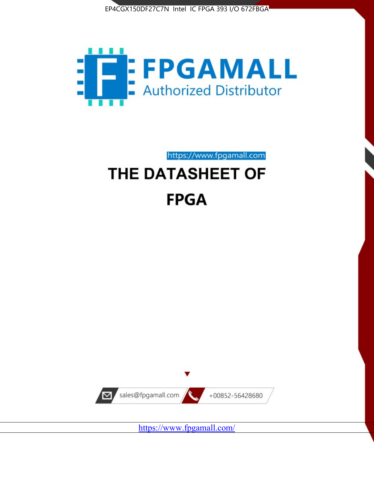



# https://www.fpgamall.com THE DATASHEET OF **FPGA**



<https://www.fpgamall.com/>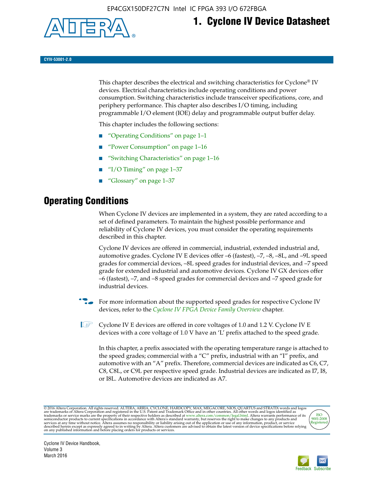

## **1. Cyclone IV Device Datasheet**

**CYIV-53001-2.0**

This chapter describes the electrical and switching characteristics for Cyclone<sup>®</sup> IV devices. Electrical characteristics include operating conditions and power consumption. Switching characteristics include transceiver specifications, core, and periphery performance. This chapter also describes I/O timing, including programmable I/O element (IOE) delay and programmable output buffer delay.

This chapter includes the following sections:

- "Operating Conditions" on page 1–1
- "Power Consumption" on page 1–16
- "Switching Characteristics" on page 1–16
- " $I/O$  Timing" on page  $1-37$
- "Glossary" on page 1–37

## **Operating Conditions**

When Cyclone IV devices are implemented in a system, they are rated according to a set of defined parameters. To maintain the highest possible performance and reliability of Cyclone IV devices, you must consider the operating requirements described in this chapter.

Cyclone IV devices are offered in commercial, industrial, extended industrial and, automotive grades. Cyclone IV E devices offer –6 (fastest), –7, –8, –8L, and –9L speed grades for commercial devices, –8L speed grades for industrial devices, and –7 speed grade for extended industrial and automotive devices. Cyclone IV GX devices offer –6 (fastest), –7, and –8 speed grades for commercial devices and –7 speed grade for industrial devices.

**For more information about the supported speed grades for respective Cyclone IV** devices, refer to the *[Cyclone IV FPGA Device Family Overview](http://www.altera.com/literature/hb/cyclone-iv/cyiv-51001.pdf)* chapter.

**1** Cyclone IV E devices are offered in core voltages of 1.0 and 1.2 V. Cyclone IV E devices with a core voltage of 1.0 V have an 'L' prefix attached to the speed grade.

In this chapter, a prefix associated with the operating temperature range is attached to the speed grades; commercial with a "C" prefix, industrial with an "I" prefix, and automotive with an "A" prefix. Therefore, commercial devices are indicated as C6, C7, C8, C8L, or C9L per respective speed grade. Industrial devices are indicated as I7, I8, or I8L. Automotive devices are indicated as A7.

@2016 Altera Corporation. All rights reserved. ALTERA, ARRIA, CYCLONE, HARDCOPY, MAX, MEGACORE, NIOS, QUARTUS and STRATIX words and logos are trademarks of Altera Corporation and registered in the U.S. Patent and Trademark



Cyclone IV Device Handbook, Volume 3 March 2016

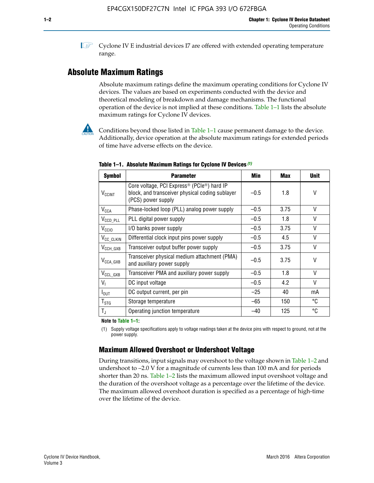**1 Cyclone IV E industrial devices I7 are offered with extended operating temperature** range.

## **Absolute Maximum Ratings**

Absolute maximum ratings define the maximum operating conditions for Cyclone IV devices. The values are based on experiments conducted with the device and theoretical modeling of breakdown and damage mechanisms. The functional operation of the device is not implied at these conditions. Table 1–1 lists the absolute maximum ratings for Cyclone IV devices.



**Conditions beyond those listed in Table 1–1 cause permanent damage to the device.** Additionally, device operation at the absolute maximum ratings for extended periods of time have adverse effects on the device.

| <b>Symbol</b>              | <b>Parameter</b>                                                                                                                | Min    | Max  | <b>Unit</b>  |
|----------------------------|---------------------------------------------------------------------------------------------------------------------------------|--------|------|--------------|
| <b>V<sub>CCINT</sub></b>   | Core voltage, PCI Express <sup>®</sup> (PCIe®) hard IP<br>block, and transceiver physical coding sublayer<br>(PCS) power supply | $-0.5$ | 1.8  | V            |
| <b>V<sub>CCA</sub></b>     | Phase-locked loop (PLL) analog power supply                                                                                     | $-0.5$ | 3.75 | $\vee$       |
| $V_{\text{CCD\_PLL}}$      | PLL digital power supply                                                                                                        | $-0.5$ | 1.8  | V            |
| $V_{\text{CGIO}}$          | I/O banks power supply                                                                                                          | $-0.5$ | 3.75 | $\vee$       |
| V <sub>CC_CLKIN</sub>      | Differential clock input pins power supply                                                                                      | $-0.5$ | 4.5  | $\vee$       |
| $V_{\text{CCH_GXB}}$       | Transceiver output buffer power supply                                                                                          | $-0.5$ | 3.75 | V            |
| $V_{\text{CCA\_GXB}}$      | Transceiver physical medium attachment (PMA)<br>and auxiliary power supply                                                      | $-0.5$ | 3.75 | $\vee$       |
| $V_{CCL_GXB}$              | Transceiver PMA and auxiliary power supply                                                                                      | $-0.5$ | 1.8  | $\mathsf{V}$ |
| $V_{1}$                    | DC input voltage                                                                                                                | $-0.5$ | 4.2  | $\vee$       |
| $I_{\text{OUT}}$           | DC output current, per pin                                                                                                      | $-25$  | 40   | mA           |
| ${\mathsf T}_{\text{STG}}$ | Storage temperature                                                                                                             | $-65$  | 150  | °C           |
| $T_{\rm J}$                | Operating junction temperature                                                                                                  | $-40$  | 125  | °C           |

**Table 1–1. Absolute Maximum Ratings for Cyclone IV Devices** *(1)*

**Note to Table 1–1:**

(1) Supply voltage specifications apply to voltage readings taken at the device pins with respect to ground, not at the power supply.

## **Maximum Allowed Overshoot or Undershoot Voltage**

During transitions, input signals may overshoot to the voltage shown in Table 1–2 and undershoot to –2.0 V for a magnitude of currents less than 100 mA and for periods shorter than 20 ns. Table 1–2 lists the maximum allowed input overshoot voltage and the duration of the overshoot voltage as a percentage over the lifetime of the device. The maximum allowed overshoot duration is specified as a percentage of high-time over the lifetime of the device.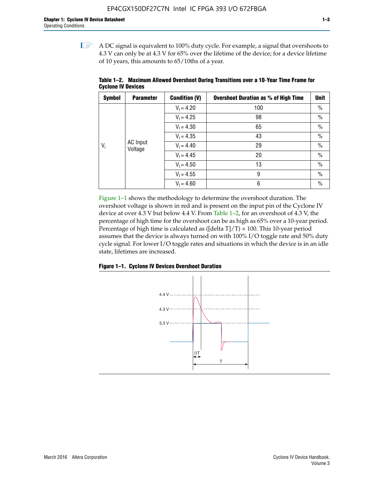$\mathbb{I}$  A DC signal is equivalent to 100% duty cycle. For example, a signal that overshoots to 4.3 V can only be at 4.3 V for 65% over the lifetime of the device; for a device lifetime of 10 years, this amounts to 65/10ths of a year.

| <b>Symbol</b> | <b>Parameter</b>    | <b>Condition (V)</b> | <b>Overshoot Duration as % of High Time</b> | <b>Unit</b>   |               |
|---------------|---------------------|----------------------|---------------------------------------------|---------------|---------------|
|               |                     | $V_1 = 4.20$         | 100                                         | $\%$          |               |
|               |                     | $V_1 = 4.25$         | 98                                          | $\%$          |               |
|               |                     | $V_1 = 4.30$         | 65                                          | $\%$          |               |
|               | AC Input<br>Voltage |                      | $V_1 = 4.35$                                | 43            | $\%$          |
| $V_i$         |                     |                      | $V_1 = 4.40$                                | 29            | $\frac{0}{0}$ |
|               |                     | $V_1 = 4.45$         | 20                                          | $\%$          |               |
|               |                     | $V_1 = 4.50$         | 13                                          | $\%$          |               |
|               |                     | $V_1 = 4.55$         | 9                                           | $\frac{0}{0}$ |               |
|               |                     | $V_1 = 4.60$         | 6                                           | $\%$          |               |

**Table 1–2. Maximum Allowed Overshoot During Transitions over a 10**-**Year Time Frame for Cyclone IV Devices**

Figure 1–1 shows the methodology to determine the overshoot duration. The overshoot voltage is shown in red and is present on the input pin of the Cyclone IV device at over 4.3 V but below 4.4 V. From Table 1–2, for an overshoot of 4.3 V, the percentage of high time for the overshoot can be as high as 65% over a 10-year period. Percentage of high time is calculated as ([delta  $T$ ]/T)  $\times$  100. This 10-year period assumes that the device is always turned on with 100% I/O toggle rate and 50% duty cycle signal. For lower I/O toggle rates and situations in which the device is in an idle state, lifetimes are increased.



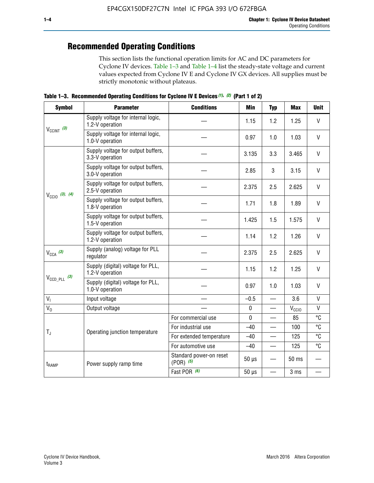## **Recommended Operating Conditions**

This section lists the functional operation limits for AC and DC parameters for Cyclone IV devices. Table 1–3 and Table 1–4 list the steady-state voltage and current values expected from Cyclone IV E and Cyclone IV GX devices. All supplies must be strictly monotonic without plateaus.

**Table 1–3. Recommended Operating Conditions for Cyclone IV E Devices** *(1)***,** *(2)* **(Part 1 of 2)**

| <b>Symbol</b>              | <b>Parameter</b>                                      | <b>Conditions</b>                        | Min                                                                                                                                                                                                                                                                                                                                                                                                                                                                                                                                                     | <b>Typ</b>               | <b>Max</b> | <b>Unit</b>  |
|----------------------------|-------------------------------------------------------|------------------------------------------|---------------------------------------------------------------------------------------------------------------------------------------------------------------------------------------------------------------------------------------------------------------------------------------------------------------------------------------------------------------------------------------------------------------------------------------------------------------------------------------------------------------------------------------------------------|--------------------------|------------|--------------|
|                            | Supply voltage for internal logic,<br>1.2-V operation |                                          | 1.15                                                                                                                                                                                                                                                                                                                                                                                                                                                                                                                                                    | 1.2                      | 1.25       | $\mathsf{V}$ |
| $V_{CClNT}$ (3)            | Supply voltage for internal logic,<br>1.0-V operation |                                          | $\mathsf{V}$<br>0.97<br>1.0<br>1.03<br>$\vee$<br>3.135<br>3.3<br>3.465<br>3<br>V<br>2.85<br>3.15<br>$\vee$<br>2.375<br>2.5<br>2.625<br>V<br>1.8<br>1.89<br>1.71<br>$\vee$<br>1.425<br>1.5<br>1.575<br>1.2<br>$\mathsf{V}$<br>1.14<br>1.26<br>$\vee$<br>2.375<br>2.5<br>2.625<br>V<br>1.15<br>1.2<br>1.25<br>$\vee$<br>0.97<br>1.0<br>1.03<br>$\mathsf{V}$<br>$-0.5$<br>3.6<br>$\overline{\phantom{0}}$<br>$\mathsf{V}$<br>$\pmb{0}$<br>$V_{\rm CClO}$<br>—<br>°C<br>$\mathbf 0$<br>85<br>°C<br>$-40$<br>100<br>°C<br>125<br>$-40$<br>°C<br>$-40$<br>125 |                          |            |              |
|                            | Supply voltage for output buffers,<br>3.3-V operation |                                          |                                                                                                                                                                                                                                                                                                                                                                                                                                                                                                                                                         |                          |            |              |
|                            | Supply voltage for output buffers,<br>3.0-V operation |                                          |                                                                                                                                                                                                                                                                                                                                                                                                                                                                                                                                                         |                          |            |              |
| $V_{\text{CC10}}$ (3), (4) | Supply voltage for output buffers,<br>2.5-V operation |                                          |                                                                                                                                                                                                                                                                                                                                                                                                                                                                                                                                                         |                          |            |              |
|                            | Supply voltage for output buffers,<br>1.8-V operation |                                          |                                                                                                                                                                                                                                                                                                                                                                                                                                                                                                                                                         |                          |            |              |
|                            | Supply voltage for output buffers,<br>1.5-V operation |                                          |                                                                                                                                                                                                                                                                                                                                                                                                                                                                                                                                                         |                          |            |              |
|                            | Supply voltage for output buffers,<br>1.2-V operation |                                          |                                                                                                                                                                                                                                                                                                                                                                                                                                                                                                                                                         |                          |            |              |
| $V_{CCA}$ (3)              | Supply (analog) voltage for PLL<br>regulator          |                                          |                                                                                                                                                                                                                                                                                                                                                                                                                                                                                                                                                         |                          |            |              |
|                            | Supply (digital) voltage for PLL,<br>1.2-V operation  |                                          |                                                                                                                                                                                                                                                                                                                                                                                                                                                                                                                                                         |                          |            |              |
| $V_{\text{CCD\_PLL}}$ (3)  | Supply (digital) voltage for PLL,<br>1.0-V operation  |                                          |                                                                                                                                                                                                                                                                                                                                                                                                                                                                                                                                                         |                          |            |              |
| V <sub>1</sub>             | Input voltage                                         |                                          |                                                                                                                                                                                                                                                                                                                                                                                                                                                                                                                                                         |                          |            |              |
| $V_0$                      | Output voltage                                        |                                          |                                                                                                                                                                                                                                                                                                                                                                                                                                                                                                                                                         |                          |            |              |
|                            |                                                       | For commercial use                       |                                                                                                                                                                                                                                                                                                                                                                                                                                                                                                                                                         |                          |            |              |
| $T_{\rm J}$                | Operating junction temperature                        | For industrial use                       |                                                                                                                                                                                                                                                                                                                                                                                                                                                                                                                                                         |                          |            |              |
|                            |                                                       | For extended temperature                 |                                                                                                                                                                                                                                                                                                                                                                                                                                                                                                                                                         |                          |            |              |
|                            |                                                       | For automotive use                       |                                                                                                                                                                                                                                                                                                                                                                                                                                                                                                                                                         |                          |            |              |
| $t_{\rm{RAMP}}$            | Power supply ramp time                                | Standard power-on reset<br>$(POR)$ $(5)$ | $50 \mu s$                                                                                                                                                                                                                                                                                                                                                                                                                                                                                                                                              |                          | 50 ms      |              |
|                            |                                                       | Fast POR (6)                             | $50 \mu s$                                                                                                                                                                                                                                                                                                                                                                                                                                                                                                                                              | $\overline{\phantom{0}}$ | 3 ms       |              |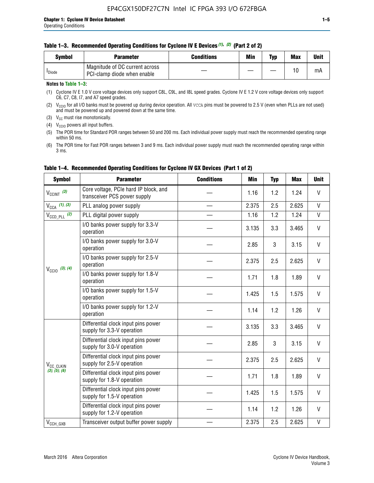|  | Table 1–3. Recommended Operating Conditions for Cyclone IV E Devices (1), (2) (Part 2 of 2) |  |  |  |
|--|---------------------------------------------------------------------------------------------|--|--|--|
|--|---------------------------------------------------------------------------------------------|--|--|--|

| Svmbol             | Parameter                                                     | Conditions | Min | Typ | <b>Max</b> | Unit |
|--------------------|---------------------------------------------------------------|------------|-----|-----|------------|------|
| <sup>I</sup> Diode | Magnitude of DC current across<br>PCI-clamp diode when enable |            |     | —   | 10         | mA   |

#### **Notes to Table 1–3:**

(1) Cyclone IV E 1.0 V core voltage devices only support C8L, C9L, and I8L speed grades. Cyclone IV E 1.2 V core voltage devices only support C6, C7, C8, I7, and A7 speed grades.

(2)  $V_{CCIO}$  for all I/O banks must be powered up during device operation. All vcca pins must be powered to 2.5 V (even when PLLs are not used) and must be powered up and powered down at the same time.

(3)  $V_{CC}$  must rise monotonically.

(4)  $V_{\text{CCIO}}$  powers all input buffers.

(5) The POR time for Standard POR ranges between 50 and 200 ms. Each individual power supply must reach the recommended operating range within 50 ms.

(6) The POR time for Fast POR ranges between 3 and 9 ms. Each individual power supply must reach the recommended operating range within 3 ms.

| <b>Symbol</b>              | <b>Parameter</b>                                                      | <b>Conditions</b> | <b>Min</b> | <b>Typ</b> | <b>Max</b> | <b>Unit</b>  |
|----------------------------|-----------------------------------------------------------------------|-------------------|------------|------------|------------|--------------|
| $V_{\text{CCINT}}$ (3)     | Core voltage, PCIe hard IP block, and<br>transceiver PCS power supply |                   | 1.16       | 1.2        | 1.24       | V            |
| $V_{CCA}$ (1), (3)         | PLL analog power supply                                               |                   | 2.375      | 2.5        | 2.625      | V            |
| $V_{\text{CCD\_PLL}}$ (2)  | PLL digital power supply                                              |                   | 1.16       | 1.2        | 1.24       | $\mathsf{V}$ |
|                            | I/O banks power supply for 3.3-V<br>operation                         |                   | 3.135      | 3.3        | 3.465      | V            |
|                            | I/O banks power supply for 3.0-V<br>operation                         |                   | 2.85       | 3          | 3.15       | V            |
| $V_{\text{CC10}}$ (3), (4) | I/O banks power supply for 2.5-V<br>operation                         |                   | 2.375      | 2.5        | 2.625      | V            |
|                            | I/O banks power supply for 1.8-V<br>operation                         |                   | 1.71       | 1.8        | 1.89       | V            |
|                            | I/O banks power supply for 1.5-V<br>operation                         |                   | 1.425      | 1.5        | 1.575      | V            |
|                            | I/O banks power supply for 1.2-V<br>operation                         |                   | 1.14       | 1.2        | 1.26       | $\mathsf{V}$ |
|                            | Differential clock input pins power<br>supply for 3.3-V operation     |                   | 3.135      | 3.3        | 3.465      | V            |
|                            | Differential clock input pins power<br>supply for 3.0-V operation     |                   | 2.85       | 3          | 3.15       | V            |
| V <sub>CC_CLKIN</sub>      | Differential clock input pins power<br>supply for 2.5-V operation     |                   | 2.375      | 2.5        | 2.625      | V            |
| (3), (5), (6)              | Differential clock input pins power<br>supply for 1.8-V operation     |                   | 1.71       | 1.8        | 1.89       | V            |
|                            | Differential clock input pins power<br>supply for 1.5-V operation     |                   | 1.425      | 1.5        | 1.575      | V            |
|                            | Differential clock input pins power<br>supply for 1.2-V operation     |                   | 1.14       | 1.2        | 1.26       | V            |
| $V_{CCH_GXB}$              | Transceiver output buffer power supply                                |                   | 2.375      | 2.5        | 2.625      | $\mathsf{V}$ |

#### **Table 1–4. Recommended Operating Conditions for Cyclone IV GX Devices (Part 1 of 2)**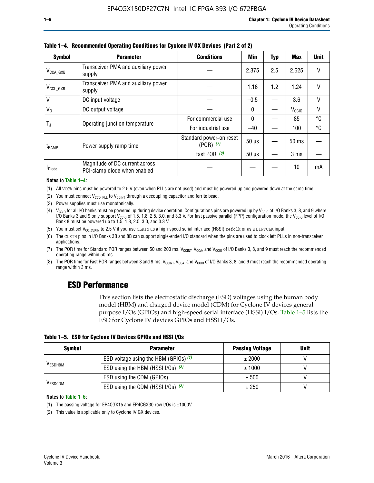| <b>Symbol</b>         | <b>Parameter</b>                                               | <b>Conditions</b>                        | Min          | <b>Typ</b> | <b>Max</b>        | <b>Unit</b> |
|-----------------------|----------------------------------------------------------------|------------------------------------------|--------------|------------|-------------------|-------------|
| $V_{\text{CCA\_GXB}}$ | Transceiver PMA and auxiliary power<br>supply                  |                                          | 2.375        | 2.5        | 2.625             | V           |
| $V_{CCL_GXB}$         | Transceiver PMA and auxiliary power<br>supply                  |                                          | 1.16         | 1.2        | 1.24              |             |
| $V_1$                 | DC input voltage                                               |                                          | $-0.5$       |            | 3.6               | $\vee$      |
| $V_0$                 | DC output voltage                                              |                                          | 0            |            | V <sub>CCIO</sub> | V           |
|                       | Operating junction temperature                                 | For commercial use                       | $\mathbf{0}$ |            | 85                | °C          |
| T,                    |                                                                | For industrial use                       | $-40$        |            | 100               | °C          |
| t <sub>RAMP</sub>     | Power supply ramp time                                         | Standard power-on reset<br>$(POR)$ $(7)$ | $50 \mu s$   |            | $50$ ms           |             |
|                       |                                                                | Fast POR (8)                             | $50 \mu s$   |            | 3 <sub>ms</sub>   |             |
| <b>I</b> Diode        | Magnitude of DC current across<br>PCI-clamp diode when enabled |                                          |              |            | 10                | mA          |

**Table 1–4. Recommended Operating Conditions for Cyclone IV GX Devices (Part 2 of 2)**

**Notes to Table 1–4:**

- (1) All VCCA pins must be powered to 2.5 V (even when PLLs are not used) and must be powered up and powered down at the same time.
- (2) You must connect  $V_{CCD-PLL}$  to  $V_{CCINT}$  through a decoupling capacitor and ferrite bead.
- (3) Power supplies must rise monotonically.
- (4)  $V_{\text{CCIO}}$  for all I/O banks must be powered up during device operation. Configurations pins are powered up by V<sub>CCIO</sub> of I/O Banks 3, 8, and 9 where I/O Banks 3 and 9 only support V<sub>CCIO</sub> of 1.5, 1.8, 2.5, 3.0, and 3.3 V. For fast passive parallel (FPP) configuration mode, the V<sub>CCIO</sub> level of I/O<br>Bank 8 must be powered up to 1.5, 1.8, 2.5, 3.0, and 3.3 V.
- (5) You must set  $V_{CC_CCLKIN}$  to 2.5 V if you use CLKIN as a high-speed serial interface (HSSI) refclk or as a DIFFCLK input.
- (6) The CLKIN pins in I/O Banks 3B and 8B can support single-ended I/O standard when the pins are used to clock left PLLs in non-transceiver applications.
- (7) The POR time for Standard POR ranges between 50 and 200 ms.  $V_{\text{CCIA}}$ ,  $V_{\text{CCIA}}$ , and  $V_{\text{CCIO}}$  of I/O Banks 3, 8, and 9 must reach the recommended operating range within 50 ms.
- (8) The POR time for Fast POR ranges between 3 and 9 ms.  $V_{\text{CCH},T}$ ,  $V_{\text{CCA}}$ , and  $V_{\text{CCI}}$  of I/O Banks 3, 8, and 9 must reach the recommended operating range within 3 ms.

## **ESD Performance**

This section lists the electrostatic discharge (ESD) voltages using the human body model (HBM) and charged device model (CDM) for Cyclone IV devices general purpose I/Os (GPIOs) and high-speed serial interface (HSSI) I/Os. Table 1–5 lists the ESD for Cyclone IV devices GPIOs and HSSI I/Os.

|  |  |  | Table 1–5. ESD for Cyclone IV Devices GPIOs and HSSI I/Os |  |  |
|--|--|--|-----------------------------------------------------------|--|--|
|  |  |  |                                                           |  |  |

| <b>Symbol</b>  | <b>Parameter</b>                      | <b>Passing Voltage</b> | <b>Unit</b> |
|----------------|---------------------------------------|------------------------|-------------|
|                | ESD voltage using the HBM (GPIOs) (1) | ± 2000                 |             |
| <b>VESDHBM</b> | ESD using the HBM (HSSI I/Os) (2)     | ± 1000                 |             |
|                | ESD using the CDM (GPIOs)             | ± 500                  |             |
| <b>VESDCDM</b> | ESD using the CDM (HSSI I/Os) (2)     | ± 250                  |             |

#### **Notes to Table 1–5:**

(1) The passing voltage for EP4CGX15 and EP4CGX30 row I/Os is ±1000V.

(2) This value is applicable only to Cyclone IV GX devices.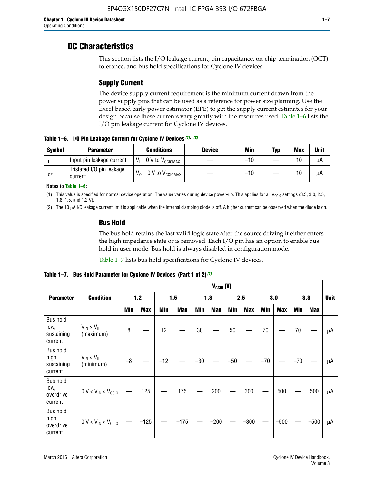## **DC Characteristics**

This section lists the I/O leakage current, pin capacitance, on-chip termination (OCT) tolerance, and bus hold specifications for Cyclone IV devices.

## **Supply Current**

The device supply current requirement is the minimum current drawn from the power supply pins that can be used as a reference for power size planning. Use the Excel-based early power estimator (EPE) to get the supply current estimates for your design because these currents vary greatly with the resources used. Table 1–6 lists the I/O pin leakage current for Cyclone IV devices.

**Table 1–6. I/O Pin Leakage Current for Cyclone IV Devices** *(1)***,** *(2)*

| <b>Symbol</b> | <b>Parameter</b>                     | <b>Conditions</b>                     | <b>Device</b> | Min   | Typ | <b>Max</b> | <b>Unit</b> |
|---------------|--------------------------------------|---------------------------------------|---------------|-------|-----|------------|-------------|
| -lı           | Input pin leakage current            | $V_1 = 0$ V to $V_{\text{CCIOMAX}}$   |               | $-10$ |     | 10         | μA          |
| $I_{0Z}$      | Tristated I/O pin leakage<br>current | $V_0 = 0 V$ to $V_{\text{CCIOMAX}}$ I |               | $-10$ |     | 10         | μA          |

**Notes to Table 1–6:**

(1) This value is specified for normal device operation. The value varies during device power-up. This applies for all V<sub>CCIO</sub> settings (3.3, 3.0, 2.5, 1.8, 1.5, and 1.2 V).

(2) The 10 µA I/O leakage current limit is applicable when the internal clamping diode is off. A higher current can be observed when the diode is on.

### **Bus Hold**

The bus hold retains the last valid logic state after the source driving it either enters the high impedance state or is removed. Each I/O pin has an option to enable bus hold in user mode. Bus hold is always disabled in configuration mode.

Table 1–7 lists bus hold specifications for Cyclone IV devices.

|                                                   |                                  | $V_{CCIO} (V)$ |            |       |            |            |            |            |            |       |            |       |            |             |
|---------------------------------------------------|----------------------------------|----------------|------------|-------|------------|------------|------------|------------|------------|-------|------------|-------|------------|-------------|
| <b>Parameter</b>                                  | <b>Condition</b>                 |                | $1.2$      |       | 1.5        |            | 1.8        |            | 2.5        |       | 3.0        |       | 3.3        | <b>Unit</b> |
|                                                   |                                  | <b>Min</b>     | <b>Max</b> | Min   | <b>Max</b> | <b>Min</b> | <b>Max</b> | <b>Min</b> | <b>Max</b> | Min   | <b>Max</b> | Min   | <b>Max</b> |             |
| <b>Bus hold</b><br>low,<br>sustaining<br>current  | $V_{IN}$ > $V_{IL}$<br>(maximum) | 8              |            | 12    |            | 30         |            | 50         |            | 70    |            | 70    |            | μA          |
| <b>Bus hold</b><br>high,<br>sustaining<br>current | $V_{IN}$ < $V_{IL}$<br>(minimum) | $-8$           |            | $-12$ |            | $-30$      |            | $-50$      |            | $-70$ |            | $-70$ |            | μA          |
| <b>Bus hold</b><br>low,<br>overdrive<br>current   | $0 V < V_{IN} < V_{CG10}$        |                | 125        |       | 175        |            | 200        |            | 300        |       | 500        |       | 500        | μA          |
| <b>Bus hold</b><br>high,<br>overdrive<br>current  | $0 V < V_{IN} < V_{CG10}$        |                | $-125$     |       | $-175$     |            | $-200$     |            | $-300$     |       | $-500$     |       | $-500$     | μA          |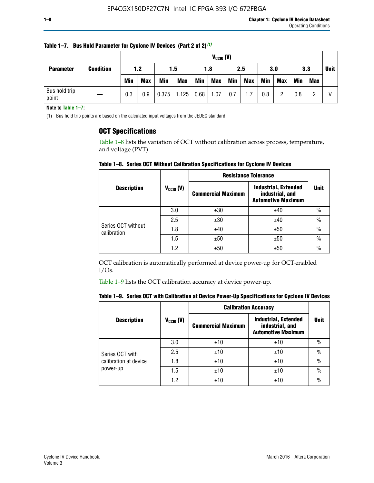|                        | <b>Condition</b> |            | $V_{CGI0} (V)$ |            |            |            |            |     |            |            |            |     |     |             |
|------------------------|------------------|------------|----------------|------------|------------|------------|------------|-----|------------|------------|------------|-----|-----|-------------|
| <b>Parameter</b>       |                  | 1.2        |                | 1.5        |            | 1.8        |            | 2.5 |            | 3.0        |            | 3.3 |     | <b>Unit</b> |
|                        |                  | <b>Min</b> | <b>Max</b>     | <b>Min</b> | <b>Max</b> | <b>Min</b> | <b>Max</b> | Min | <b>Max</b> | <b>Min</b> | <b>Max</b> | Min | Max |             |
| Bus hold trip<br>point |                  | 0.3        | 0.9            | 0.375      | 1.125      | 0.68       | 1.07       | 0.7 | 1.7        | 0.8        |            | 0.8 |     |             |

**Table 1–7. Bus Hold Parameter for Cyclone IV Devices (Part 2 of 2)** *(1)*

**Note to Table 1–7:**

(1) Bus hold trip points are based on the calculated input voltages from the JEDEC standard.

### **OCT Specifications**

Table 1–8 lists the variation of OCT without calibration across process, temperature, and voltage (PVT).

**Table 1–8. Series OCT Without Calibration Specifications for Cyclone IV Devices**

|                                   |                      | <b>Resistance Tolerance</b> |                                                                             |               |
|-----------------------------------|----------------------|-----------------------------|-----------------------------------------------------------------------------|---------------|
| <b>Description</b>                | $V_{\text{CCIO}}(V)$ | <b>Commercial Maximum</b>   | <b>Industrial, Extended</b><br>industrial, and<br><b>Automotive Maximum</b> | <b>Unit</b>   |
|                                   | 3.0                  | ±30                         | ±40                                                                         | $\%$          |
|                                   | 2.5                  | ±30                         | ±40                                                                         | $\frac{0}{0}$ |
| Series OCT without<br>calibration | 1.8                  | ±40                         | ±50                                                                         | $\frac{0}{0}$ |
|                                   | 1.5                  | ±50                         | ±50                                                                         | $\frac{0}{0}$ |
|                                   | 1.2                  | ±50                         | ±50                                                                         | $\frac{0}{0}$ |

OCT calibration is automatically performed at device power-up for OCT-enabled I/Os.

Table 1–9 lists the OCT calibration accuracy at device power-up.

|  | Table 1–9.  Series OCT with Calibration at Device Power-Up Specifications for Cyclone IV Devices |  |  |  |
|--|--------------------------------------------------------------------------------------------------|--|--|--|
|--|--------------------------------------------------------------------------------------------------|--|--|--|

|                       |                | <b>Calibration Accuracy</b> |                                                                             |               |  |
|-----------------------|----------------|-----------------------------|-----------------------------------------------------------------------------|---------------|--|
| <b>Description</b>    | $V_{CGI0} (V)$ | <b>Commercial Maximum</b>   | <b>Industrial, Extended</b><br>industrial, and<br><b>Automotive Maximum</b> | Unit          |  |
|                       | 3.0            | ±10                         | ±10                                                                         | $\%$          |  |
| Series OCT with       | 2.5            | ±10                         | ±10                                                                         | $\%$          |  |
| calibration at device | 1.8            | ±10                         | ±10                                                                         | $\frac{0}{0}$ |  |
| power-up              | 1.5            | ±10                         | ±10                                                                         | $\frac{0}{0}$ |  |
|                       | 1.2            | ±10                         | ±10                                                                         | $\frac{0}{0}$ |  |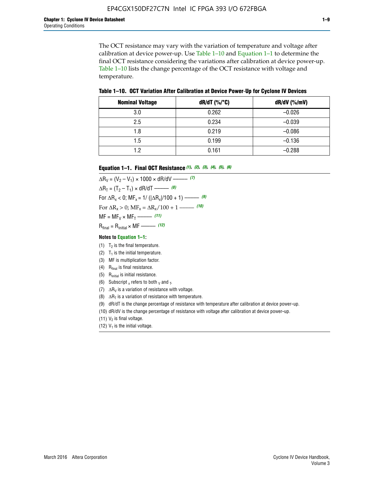The OCT resistance may vary with the variation of temperature and voltage after calibration at device power-up. Use Table 1–10 and Equation 1–1 to determine the final OCT resistance considering the variations after calibration at device power-up. Table 1–10 lists the change percentage of the OCT resistance with voltage and temperature.

**Table 1–10. OCT Variation After Calibration at Device Power**-**Up for Cyclone IV Devices**

| <b>Nominal Voltage</b> | dR/dT (%/°C) | $dR/dV$ (%/mV) |
|------------------------|--------------|----------------|
| 3.0                    | 0.262        | $-0.026$       |
| 2.5                    | 0.234        | $-0.039$       |
| 1.8                    | 0.219        | $-0.086$       |
| 1.5                    | 0.199        | $-0.136$       |
| 1.2                    | 0.161        | $-0.288$       |

#### **Equation 1–1. Final OCT Resistance** *(1)***,** *(2)***,** *(3)***,** *(4)***,** *(5)***,** *(6)*

 $\Delta R_V = (V_2 - V_1) \times 1000 \times dR/dV$  ––––––––––––(7)  $\Delta R_T = (T_2 - T_1) \times dR/dT$  ––––––– (8) For  $\Delta R_x < 0$ ; MF<sub>x</sub> = 1/ ( $|\Delta R_x|/100 + 1$ ) –––––– (9) For  $\Delta R_x > 0$ ;  $\text{MF}_x = \Delta R_x / 100 + 1$  ——– (10)  $MF = MF_V \times MF_T$  –––––––––––(11) Rfinal = Rinitial × MF ––––– *(12)*

#### **Notes to Equation 1–1:**

- (1)  $T_2$  is the final temperature.
- (2)  $T_1$  is the initial temperature.
- (3) MF is multiplication factor.
- (4)  $R<sub>final</sub>$  is final resistance.
- (5) Rinitial is initial resistance.
- (6) Subscript x refers to both  $\sqrt{v}$  and  $\sqrt{v}$ .
- (7)  $\Delta R_V$  is a variation of resistance with voltage.
- (8)  $\Delta R_T$  is a variation of resistance with temperature.
- (9) dR/dT is the change percentage of resistance with temperature after calibration at device power-up.
- (10) dR/dV is the change percentage of resistance with voltage after calibration at device power-up.

(11)  $V_2$  is final voltage.

(12)  $V_1$  is the initial voltage.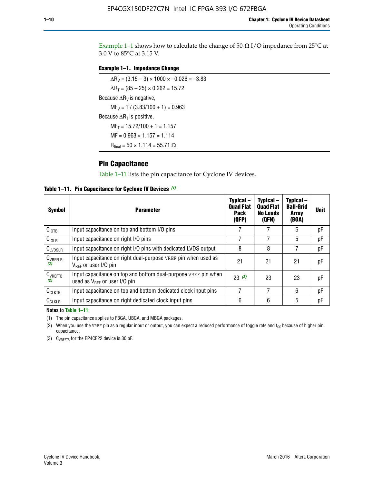Example 1-1 shows how to calculate the change of  $50$ - $\Omega$  I/O impedance from 25°C at 3.0 V to 85°C at 3.15 V.

#### **Example 1–1. Impedance Change**

 $\Delta R_V = (3.15 - 3) \times 1000 \times -0.026 = -3.83$  $\Delta R_T = (85 - 25) \times 0.262 = 15.72$ Because  $\Delta R_V$  is negative,  $MF_V = 1 / (3.83/100 + 1) = 0.963$ Because  $\Delta R_T$  is positive,  $MF_T = 15.72/100 + 1 = 1.157$  $MF = 0.963 \times 1.157 = 1.114$  $R_{final} = 50 \times 1.114 = 55.71 \Omega$ 

### **Pin Capacitance**

Table 1–11 lists the pin capacitance for Cyclone IV devices.

**Table 1–11. Pin Capacitance for Cyclone IV Devices** *(1)*

| Symbol              | <b>Parameter</b>                                                                                           | Typical-<br><b>Quad Flat</b><br><b>Pack</b><br>(QFP) | Typical-<br><b>Quad Flat</b><br><b>No Leads</b><br>(QFN) | Typical-<br><b>Ball-Grid</b><br><b>Array</b><br>(BGA) | <b>Unit</b> |
|---------------------|------------------------------------------------------------------------------------------------------------|------------------------------------------------------|----------------------------------------------------------|-------------------------------------------------------|-------------|
| C <sub>IOTB</sub>   | Input capacitance on top and bottom I/O pins                                                               |                                                      |                                                          | 6                                                     | рF          |
| $C_{IOLR}$          | Input capacitance on right I/O pins                                                                        |                                                      |                                                          | 5                                                     | рF          |
| $C_{LVDSLR}$        | Input capacitance on right I/O pins with dedicated LVDS output                                             | 8                                                    | 8                                                        |                                                       | рF          |
| $C_{VREFLR}$<br>(2) | Input capacitance on right dual-purpose VREF pin when used as<br>$V_{BFE}$ or user I/O pin                 | 21                                                   | 21                                                       | 21                                                    | pF          |
| $C_{VREFTB}$<br>(2) | Input capacitance on top and bottom dual-purpose VREF pin when<br>used as $V_{\text{RFF}}$ or user I/O pin | 23(3)                                                | 23                                                       | 23                                                    | pF          |
| $C_{CLKTB}$         | Input capacitance on top and bottom dedicated clock input pins                                             | 7                                                    | 7                                                        | 6                                                     | pF          |
| $C_{CLKLR}$         | Input capacitance on right dedicated clock input pins                                                      | 6                                                    | 6                                                        | 5                                                     | рF          |

#### **Notes to Table 1–11:**

(1) The pin capacitance applies to FBGA, UBGA, and MBGA packages.

(2) When you use the VREF pin as a regular input or output, you can expect a reduced performance of toggle rate and  $t_{\rm CO}$  because of higher pin capacitance.

(3) CVREFTB for the EP4CE22 device is 30 pF.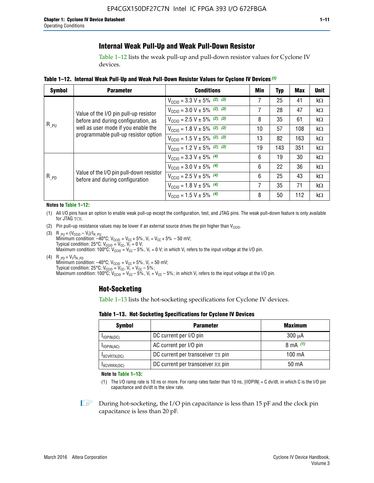### **Internal Weak Pull-Up and Weak Pull-Down Resistor**

Table 1–12 lists the weak pull-up and pull-down resistor values for Cyclone IV devices.

**Table 1–12. Internal Weak Pull**-**Up and Weak Pull**-**Down Resistor Values for Cyclone IV Devices** *(1)*

| <b>Symbol</b> | <b>Parameter</b>                                                                                                   | <b>Conditions</b>                                  | Min | <b>Typ</b> | <b>Max</b> | <b>Unit</b> |
|---------------|--------------------------------------------------------------------------------------------------------------------|----------------------------------------------------|-----|------------|------------|-------------|
|               |                                                                                                                    | $V_{\text{CC10}} = 3.3 \text{ V} \pm 5\%$ (2), (3) | 7   | 25         | 41         | $k\Omega$   |
|               | Value of the I/O pin pull-up resistor                                                                              | $V_{\text{CC10}} = 3.0 \text{ V} \pm 5\%$ (2), (3) | 7   | 28         | 47         | kΩ          |
|               | before and during configuration, as<br>well as user mode if you enable the<br>programmable pull-up resistor option | $V_{\text{CC10}} = 2.5 V \pm 5\%$ (2), (3)         | 8   | 35         | 61         | kΩ          |
| $R_{PU}$      |                                                                                                                    | $V_{\text{CGI0}} = 1.8 V \pm 5\%$ (2), (3)         | 10  | 57         | 108        | $k\Omega$   |
|               |                                                                                                                    | $V_{\text{CC10}} = 1.5 V \pm 5\%$ (2), (3)         | 13  | 82         | 163        | $k\Omega$   |
|               |                                                                                                                    | $V_{\text{CC10}} = 1.2 V \pm 5\%$ (2), (3)         | 19  | 143        | 351        | kΩ          |
|               |                                                                                                                    | $V_{\text{CC10}} = 3.3 V \pm 5\%$ (4)              | 6   | 19         | 30         | kΩ          |
|               |                                                                                                                    | $V_{\text{CC10}} = 3.0 V \pm 5\%$ (4)              | 6   | 22         | 36         | $k\Omega$   |
| $R_{PD}$      | Value of the I/O pin pull-down resistor<br>before and during configuration                                         | $V_{\text{CC10}} = 2.5 V \pm 5\%$ (4)              | 6   | 25         | 43         | kΩ          |
|               |                                                                                                                    | $V_{\text{CC10}} = 1.8 V \pm 5\%$ (4)              | 7   | 35         | 71         | $k\Omega$   |
|               |                                                                                                                    | $V_{\text{CC10}} = 1.5 V \pm 5\%$ (4)              | 8   | 50         | 112        | kΩ          |

#### **Notes to Table 1–12:**

- (1) All I/O pins have an option to enable weak pull-up except the configuration, test, and JTAG pins. The weak pull-down feature is only available for JTAG TCK.
- (2) Pin pull-up resistance values may be lower if an external source drives the pin higher than  $V_{\text{CCIO}}$ .
- (3)  $R_{PU} = (V_{CC10} V_1)/I_{R_PU}$ Minimum condition: –40°C; V<sub>CCIO</sub> = V<sub>CC</sub> + 5%, V<sub>I</sub> = V<sub>CC</sub> + 5% – 50 mV; Typical condition: 25°C; V<sub>CCIO</sub> = V<sub>CC</sub>, V<sub>I</sub> = 0 V; Maximum condition: 100°C;  $V_{\text{CCIO}} = V_{\text{CC}} - 5\%$ ,  $V_1 = 0$  V; in which V<sub>I</sub> refers to the input voltage at the I/O pin.
- (4)  $R_{PD} = V_I/I_{R_PD}$ Minimum condition:  $-40^{\circ}$ C; V<sub>CCIO</sub> = V<sub>CC</sub> + 5%, V<sub>I</sub> = 50 mV; Typical condition: 25°C;  $V_{\text{CCIO}} = V_{\text{CC}}$ ,  $V_{\text{I}} = V_{\text{CC}} - 5\%$ ; Maximum condition: 100°C; V<sub>CClO</sub> = V<sub>CC</sub> – 5%, V<sub>I</sub> = V<sub>CC</sub> – 5%; in which V<sub>I</sub> refers to the input voltage at the I/O pin.

#### **Hot-Socketing**

Table 1–13 lists the hot-socketing specifications for Cyclone IV devices.

**Table 1–13. Hot**-**Socketing Specifications for Cyclone IV Devices**

| <b>Symbol</b> | <b>Maximum</b>                    |             |
|---------------|-----------------------------------|-------------|
| $I$ IOPIN(DC) | DC current per I/O pin            | $300 \mu A$ |
| $I$ IOPIN(AC) | AC current per I/O pin            | 8 mA $(1)$  |
| IXCVRTX(DC)   | DC current per transceiver TX pin | 100 mA      |
| IXCVRRX(DC)   | DC current per transceiver RX pin | 50 mA       |

**Note to Table 1–13:**

(1) The I/O ramp rate is 10 ns or more. For ramp rates faster than 10 ns, |IIOPIN| = C dv/dt, in which C is the I/O pin capacitance and dv/dt is the slew rate.

 $\mathbb{I} \rightarrow \mathbb{I}$  During hot-socketing, the I/O pin capacitance is less than 15 pF and the clock pin capacitance is less than 20 pF.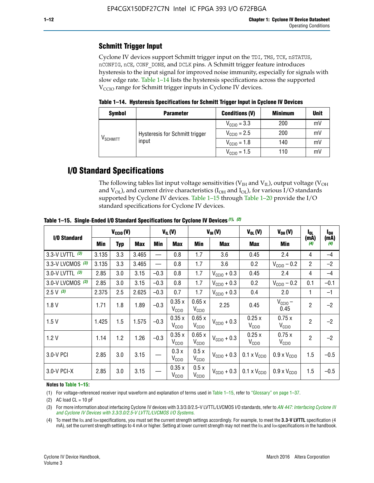## **Schmitt Trigger Input**

Cyclone IV devices support Schmitt trigger input on the TDI, TMS, TCK, nSTATUS, nCONFIG, nCE, CONF\_DONE, and DCLK pins. A Schmitt trigger feature introduces hysteresis to the input signal for improved noise immunity, especially for signals with slow edge rate. Table 1–14 lists the hysteresis specifications across the supported  $V<sub>CCIO</sub>$  range for Schmitt trigger inputs in Cyclone IV devices.

**Table 1–14. Hysteresis Specifications for Schmitt Trigger Input in Cyclone IV Devices**

| <b>Symbol</b>                  | <b>Parameter</b>                        | <b>Conditions (V)</b>   | <b>Minimum</b> | <b>Unit</b> |
|--------------------------------|-----------------------------------------|-------------------------|----------------|-------------|
| $\mathsf{V}_{\mathsf{SCHMIT}}$ |                                         | $V_{\text{CGI0}} = 3.3$ | 200            | mV          |
|                                | Hysteresis for Schmitt trigger<br>input | $V_{\text{CCIO}} = 2.5$ | 200            | mV          |
|                                |                                         | $V_{\text{CCIO}} = 1.8$ | 140            | mV          |
|                                |                                         | $V_{\text{CC10}} = 1.5$ | 110            | mV          |

## **I/O Standard Specifications**

The following tables list input voltage sensitivities ( $V<sub>IH</sub>$  and  $V<sub>II</sub>$ ), output voltage ( $V<sub>OH</sub>$ and  $V_{OL}$ ), and current drive characteristics ( $I_{OH}$  and  $I_{OL}$ ), for various I/O standards supported by Cyclone IV devices. Table 1–15 through Table 1–20 provide the I/O standard specifications for Cyclone IV devices.

|                   | $V_{CClO}(V)$ |     | $V_{IL}(V)$ |        | $V_{IH} (V)$               |                            | $V_{OL}(V)$             | $V_{OH} (V)$                 | l <sub>OL</sub>              | l <sub>oh</sub> |             |
|-------------------|---------------|-----|-------------|--------|----------------------------|----------------------------|-------------------------|------------------------------|------------------------------|-----------------|-------------|
| I/O Standard      | Min           | Typ | <b>Max</b>  | Min    | <b>Max</b>                 | Min                        | <b>Max</b>              | Max                          | Min                          | (mA)<br>(4)     | (mA)<br>(4) |
| 3.3-V LVTTL (3)   | 3.135         | 3.3 | 3.465       |        | 0.8                        | 1.7                        | 3.6                     | 0.45                         | 2.4                          | 4               | $-4$        |
| 3.3-V LVCMOS (3)  | 3.135         | 3.3 | 3.465       |        | 0.8                        | 1.7                        | 3.6                     | 0.2                          | $V_{\text{CCIO}} - 0.2$      | $\overline{2}$  | $-2$        |
| 3.0-V LVTTL $(3)$ | 2.85          | 3.0 | 3.15        | $-0.3$ | 0.8                        | 1.7                        | $V_{\text{CC10}} + 0.3$ | 0.45                         | 2.4                          | 4               | $-4$        |
| 3.0-V LVCMOS (3)  | 2.85          | 3.0 | 3.15        | $-0.3$ | 0.8                        | 1.7                        | $V_{\text{CCI}0}$ + 0.3 | 0.2                          | $V_{\text{CC10}} - 0.2$      | 0.1             | $-0.1$      |
| $2.5 V$ (3)       | 2.375         | 2.5 | 2.625       | $-0.3$ | 0.7                        | 1.7                        | $V_{\text{CCI}0}$ + 0.3 | 0.4                          | 2.0                          | 1               | $-1$        |
| 1.8V              | 1.71          | 1.8 | 1.89        | $-0.3$ | 0.35x<br>V <sub>CCIO</sub> | 0.65x<br>V <sub>CCIO</sub> | 2.25                    | 0.45                         | $V_{CGIO}$ –<br>0.45         | $\overline{c}$  | $-2$        |
| 1.5V              | 1.425         | 1.5 | 1.575       | $-0.3$ | 0.35x<br>V <sub>CCIO</sub> | 0.65x<br>V <sub>CCIO</sub> | $V_{\text{CC10}} + 0.3$ | 0.25x<br>$V_{\rm CClO}$      | 0.75x<br>V <sub>CCIO</sub>   | $\overline{2}$  | $-2$        |
| 1.2V              | 1.14          | 1.2 | 1.26        | $-0.3$ | 0.35x<br>V <sub>CCIO</sub> | 0.65x<br>V <sub>CCIO</sub> | $V_{\text{CGI0}} + 0.3$ | 0.25x<br>$V_{\rm CClO}$      | 0.75x<br>V <sub>CCIO</sub>   | $\overline{2}$  | $-2$        |
| 3.0-V PCI         | 2.85          | 3.0 | 3.15        |        | 0.3x<br>V <sub>CCIO</sub>  | 0.5x<br>V <sub>CCIO</sub>  | $V_{\text{CC10}} + 0.3$ | $0.1 \times V_{CC10}$        | $0.9 \times V_{\text{CC10}}$ | 1.5             | $-0.5$      |
| 3.0-V PCI-X       | 2.85          | 3.0 | 3.15        |        | 0.35x<br>V <sub>CCIO</sub> | 0.5x<br>V <sub>CCIO</sub>  | $V_{\text{CC}10} + 0.3$ | $0.1 \times V_{\text{CC10}}$ | $0.9 \times V_{\text{CC10}}$ | 1.5             | $-0.5$      |

**Table 1–15. Single**-**Ended I/O Standard Specifications for Cyclone IV Devices** *(1)***,** *(2)*

#### **Notes to Table 1–15:**

(1) For voltage-referenced receiver input waveform and explanation of terms used in Table 1–15, refer to "Glossary" on page 1–37.

(2) AC load  $CL = 10$  pF

(3) For more information about interfacing Cyclone IV devices with 3.3/3.0/2.5-V LVTTL/LVCMOS I/O standards, refer to *[AN 447: Interfacing Cyclone III](http://www.altera.com/literature/an/an447.pdf)  [and Cyclone IV Devices with 3.3/3.0/2.5-V LVTTL/LVCMOS I/O Systems](http://www.altera.com/literature/an/an447.pdf)*.

(4) To meet the IOL and IOH specifications, you must set the current strength settings accordingly. For example, to meet the **3.3-V LVTTL** specification (4 mA), set the current strength settings to 4 mA or higher. Setting at lower current strength may not meet the lou and lon specifications in the handbook.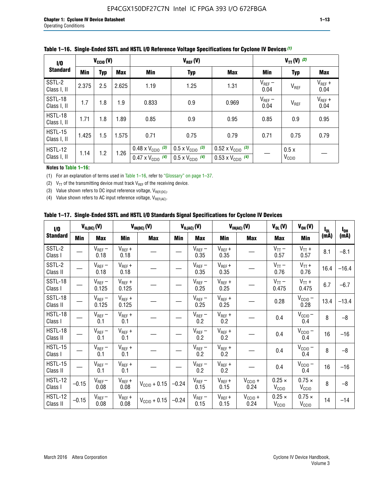| $\frac{1}{0}$          | $V_{\text{CC10}}(V)$            |     |       |                                                                        | $V_{TT} (V)$ (2)                                                     |                                                                        |                     |                           |                     |
|------------------------|---------------------------------|-----|-------|------------------------------------------------------------------------|----------------------------------------------------------------------|------------------------------------------------------------------------|---------------------|---------------------------|---------------------|
| <b>Standard</b>        | <b>Min</b><br><b>Typ</b><br>Max |     |       | <b>Min</b>                                                             | <b>Typ</b>                                                           | <b>Max</b>                                                             | Min                 | <b>Typ</b>                | Max                 |
| SSTL-2<br>Class I, II  | 2.375                           | 2.5 | 2.625 | 1.19                                                                   | 1.25                                                                 | 1.31                                                                   | $V_{REF}$ –<br>0.04 | V <sub>REF</sub>          | $V_{REF}$ +<br>0.04 |
| SSTL-18<br>Class I, II | 1.7                             | 1.8 | 1.9   | 0.833                                                                  | 0.9                                                                  | 0.969                                                                  | $V_{REF}$ –<br>0.04 | V <sub>REF</sub>          | $V_{REF}$ +<br>0.04 |
| HSTL-18<br>Class I, II | 1.71                            | 1.8 | 1.89  | 0.85                                                                   | 0.9                                                                  | 0.95                                                                   | 0.85                | 0.9                       | 0.95                |
| HSTL-15<br>Class I, II | 1.425                           | 1.5 | 1.575 | 0.71                                                                   | 0.75                                                                 | 0.79                                                                   | 0.71                | 0.75                      | 0.79                |
| HSTL-12<br>Class I, II | 1.14                            | 1.2 | 1.26  | $0.48 \times V_{\text{CC10}}$ (3)<br>$0.47 \times V_{\text{CC10}}$ (4) | $0.5 \times V_{\text{CC10}}$ (3)<br>$0.5 \times V_{\text{CC10}}$ (4) | $0.52 \times V_{\text{CC10}}$ (3)<br>$0.53 \times V_{\text{CC10}}$ (4) |                     | 0.5x<br>V <sub>CCIO</sub> |                     |

|  |  |  |  | Table 1–16. Single-Ended SSTL and HSTL I/O Reference Voltage Specifications for Cyclone IV Devices (1) |
|--|--|--|--|--------------------------------------------------------------------------------------------------------|
|--|--|--|--|--------------------------------------------------------------------------------------------------------|

#### **Notes to Table 1–16:**

(1) For an explanation of terms used in Table 1–16, refer to "Glossary" on page 1–37.

(2)  $V_{TT}$  of the transmitting device must track  $V_{REF}$  of the receiving device.

(3) Value shown refers to DC input reference voltage,  $V_{REF(DC)}$ .

(4) Value shown refers to AC input reference voltage,  $V_{REF(AC)}$ .

|  | Table 1–17.  Single-Ended SSTL and HSTL I/O Standards Signal Specifications for Cyclone IV Devices |  |  |  |  |  |
|--|----------------------------------------------------------------------------------------------------|--|--|--|--|--|
|--|----------------------------------------------------------------------------------------------------|--|--|--|--|--|

| I/O                        |         | $V_{IL(DC)}(V)$        |                                      | $V_{IH(DC)}(V)$       |         | $V_{IL(AC)}(V)$     |                     | $V_{IH(AC)}(V)$      | $V_{OL}(V)$                        | $V_{OH} (V)$                       | l <sub>ol</sub> | $I_{0H}$ |
|----------------------------|---------|------------------------|--------------------------------------|-----------------------|---------|---------------------|---------------------|----------------------|------------------------------------|------------------------------------|-----------------|----------|
| <b>Standard</b>            | Min     | <b>Max</b>             | Min                                  | <b>Max</b>            | Min     | <b>Max</b>          | Min                 | <b>Max</b>           | <b>Max</b>                         | Min                                | (mA)            | (mA)     |
| SSTL-2<br>Class I          |         | $\rm V_{REF}-$<br>0.18 | $V_{REF} +$<br>0.18                  |                       |         | $V_{REF}$ –<br>0.35 | $V_{REF} +$<br>0.35 |                      | $V_{TT}$ –<br>0.57                 | $V_{TT}$ +<br>0.57                 | 8.1             | $-8.1$   |
| SSTL-2<br>Class II         |         | $V_{REF}$ –<br>0.18    | $V_{REF} +$<br>0.18                  |                       |         | $V_{REF}$ –<br>0.35 | $V_{REF} +$<br>0.35 |                      | $V_{TT}$ –<br>0.76                 | $V_{TT}$ +<br>0.76                 | 16.4            | $-16.4$  |
| <b>SSTL-18</b><br>Class I  |         | $V_{REF}$ –<br>0.125   | $V_{REF}$ +<br>0.125                 |                       |         | $V_{REF}$ –<br>0.25 | $V_{REF}$ +<br>0.25 |                      | $V_{TT}$ –<br>0.475                | $V_{TT}$ +<br>0.475                | 6.7             | $-6.7$   |
| <b>SSTL-18</b><br>Class II |         | $V_{REF}$ –<br>0.125   | $V_{REF}$ +<br>0.125                 |                       |         | $V_{REF}$ –<br>0.25 | $V_{REF}$ +<br>0.25 |                      | 0.28                               | $V_{CC10} -$<br>0.28               | 13.4            | $-13.4$  |
| HSTL-18<br>Class I         |         | $V_{REF}$ –<br>0.1     | $V_{REF} +$<br>0.1                   |                       |         | $V_{REF}$ –<br>0.2  | $V_{REF}$ +<br>0.2  |                      | 0.4                                | $V_{CCIO}$ –<br>0.4                | 8               | $-8$     |
| HSTL-18<br>Class II        |         | $V_{REF}$ –<br>0.1     | $V_{REF} +$<br>0.1                   |                       |         | $V_{REF}$ –<br>0.2  | $V_{REF} +$<br>0.2  |                      | 0.4                                | $V_{CC10}$ –<br>0.4                | 16              | $-16$    |
| HSTL-15<br>Class I         |         | $V_{REF}$ –<br>0.1     | $V_{REF} +$<br>0.1                   |                       |         | $V_{REF}$ –<br>0.2  | $V_{REF}$ +<br>0.2  |                      | 0.4                                | $V_{\text{CC1O}} -$<br>0.4         | 8               | $-8$     |
| HSTL-15<br>Class II        |         | $V_{REF}$ –<br>0.1     | $\mathsf{V}_{\mathsf{REF}}$ +<br>0.1 |                       |         | $V_{REF}$ –<br>0.2  | $V_{REF}$ +<br>0.2  |                      | 0.4                                | $V_{CC10}$ –<br>0.4                | 16              | $-16$    |
| <b>HSTL-12</b><br>Class I  | $-0.15$ | $V_{REF}-$<br>0.08     | $V_{REF} +$<br>0.08                  | $V_{CGI0} + 0.15$     | $-0.24$ | $V_{REF}$ –<br>0.15 | $V_{REF} +$<br>0.15 | $V_{CCIO} +$<br>0.24 | $0.25 \times$<br>V <sub>CCIO</sub> | $0.75 \times$<br>V <sub>CCIO</sub> | 8               | $-8$     |
| HSTL-12<br>Class II        | $-0.15$ | $V_{REF}-$<br>0.08     | $V_{REF} +$<br>0.08                  | $V_{\rm CClO} + 0.15$ | $-0.24$ | $V_{REF}$ –<br>0.15 | $V_{REF} +$<br>0.15 | $V_{CC10}$ +<br>0.24 | $0.25 \times$<br>V <sub>CCIO</sub> | $0.75 \times$<br>V <sub>CCIO</sub> | 14              | $-14$    |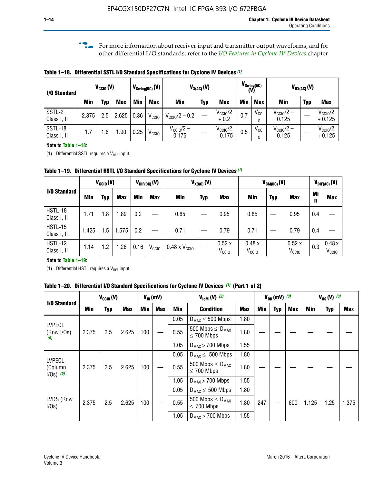**f For more information about receiver input and transmitter output waveforms, and for** other differential I/O standards, refer to the *[I/O Features in Cyclone IV Devices](http://www.altera.com/literature/hb/cyclone-iv/cyiv-51006.pdf)* chapter*.*

**Table 1–18. Differential SSTL I/O Standard Specifications for Cyclone IV Devices** *(1)*

| I/O Standard           |       | $V_{CCl0}(V)$ |            |      | $V_{\text{Swing(DC)}}(V)$ |                                | $V_{X(AC)}(V)$ |                                 |            | $V_{\text{Swing(AC)}}$<br>(V) |                                | $V_{OX(AC)}(V)$ |                                 |
|------------------------|-------|---------------|------------|------|---------------------------|--------------------------------|----------------|---------------------------------|------------|-------------------------------|--------------------------------|-----------------|---------------------------------|
|                        | Min   | Typ           | <b>Max</b> | Min  | <b>Max</b>                | <b>Min</b>                     | <b>Typ</b>     | <b>Max</b>                      | <b>Min</b> | <b>Max</b>                    | Min                            | <b>Typ</b>      | <b>Max</b>                      |
| SSTL-2<br>Class I, II  | 2.375 | 2.5           | 2.625      | 0.36 | V <sub>CCIO</sub>         | $V_{\text{CC10}}/2 - 0.2$      |                | $V_{\text{CC10}}/2$<br>$+0.2$   | 0.7        | $V_{\rm CCI}$                 | $V_{\text{CC10}}/2 -$<br>0.125 |                 | $V_{\text{CC10}}/2$<br>$+0.125$ |
| SSTL-18<br>Class I, II | 1.7   | .8            | .90        | 0.25 | V <sub>CCIO</sub>         | $V_{\text{CC10}}/2 -$<br>0.175 |                | $V_{\text{CC10}}/2$<br>$+0.175$ | 0.5        | $V_{\rm CCI}$                 | $V_{\text{CC10}}/2 -$<br>0.125 |                 | $V_{\text{CC10}}/2$<br>$+0.125$ |

#### **Note to Table 1–18:**

(1) Differential SSTL requires a  $V_{REF}$  input.

**Table 1–19. Differential HSTL I/O Standard Specifications for Cyclone IV Devices** *(1)*

|                               |       | $V_{\text{CCIO}}(V)$ |            |         | $V_{\text{DIF(DC)}}(V)$ |                               | $V_{X(AC)}(V)$ |                            |                            | $V_{CM(DC)}(V)$ |                            |         | $V_{\text{DIF(AC)}}(V)$    |
|-------------------------------|-------|----------------------|------------|---------|-------------------------|-------------------------------|----------------|----------------------------|----------------------------|-----------------|----------------------------|---------|----------------------------|
| I/O Standard                  | Min   | Typ                  | <b>Max</b> | Min     | <b>Max</b>              | <b>Min</b>                    | <b>Typ</b>     | <b>Max</b>                 | Min                        | <b>Typ</b>      | <b>Max</b>                 | Mi<br>n | <b>Max</b>                 |
| HSTL-18<br>Class I, II        | 1.71  | 1.8                  | .89        | 0.2     |                         | 0.85                          |                | 0.95                       | 0.85                       |                 | 0.95                       | 0.4     |                            |
| <b>HSTL-15</b><br>Class I, II | 1.425 | 1.5                  | 1.575      | $0.2\,$ |                         | 0.71                          |                | 0.79                       | 0.71                       |                 | 0.79                       | 0.4     |                            |
| <b>HSTL-12</b><br>Class I, II | 1.14  | 1.2                  | l.26       | 0.16    | V <sub>CCIO</sub>       | $0.48 \times V_{\text{CCIO}}$ |                | 0.52x<br>V <sub>CCIO</sub> | 0.48x<br>V <sub>CCIO</sub> |                 | 0.52x<br>V <sub>CCIO</sub> | 0.3     | 0.48x<br>V <sub>CCIO</sub> |

#### **Note to Table 1–19:**

(1) Differential HSTL requires a  $V_{REF}$  input.

**Table 1–20. Differential I/O Standard Specifications for Cyclone IV Devices** *(1)* **(Part 1 of 2)**

| I/O Standard                            |       | $V_{CCl0} (V)$ |            |            | $V_{ID}$ (mV) |      | $V_{\text{lcm}}(V)^{(2)}$                           |            |     | $V_{0D}$ (mV) $(3)$ |     |       | $V_{0S} (V)^{(3)}$ |       |
|-----------------------------------------|-------|----------------|------------|------------|---------------|------|-----------------------------------------------------|------------|-----|---------------------|-----|-------|--------------------|-------|
|                                         | Min   | Typ            | <b>Max</b> | <b>Min</b> | <b>Max</b>    | Min  | <b>Condition</b>                                    | <b>Max</b> | Min | Typ                 | Max | Min   | <b>Typ</b>         | Max   |
|                                         |       |                |            |            |               | 0.05 | $D_{MAX} \leq 500$ Mbps                             | 1.80       |     |                     |     |       |                    |       |
| <b>LVPECL</b><br>(Row I/Os)<br>(6)      | 2.375 | 2.5            | 2.625      | 100        |               | 0.55 | 500 Mbps $\leq$ D <sub>MAX</sub><br>$\leq$ 700 Mbps | 1.80       |     |                     |     |       |                    |       |
|                                         |       |                |            |            |               | 1.05 | $D_{MAX}$ > 700 Mbps                                | 1.55       |     |                     |     |       |                    |       |
|                                         |       |                |            |            |               | 0.05 | $D_{MAX} \leq 500$ Mbps                             | 1.80       |     |                     |     |       |                    |       |
| <b>LVPECL</b><br>(Column<br>$1/Os)$ (6) | 2.375 | 2.5            | 2.625      | 100        |               | 0.55 | 500 Mbps $\leq D_{MAX}$<br>$\leq$ 700 Mbps          | 1.80       |     |                     |     |       |                    |       |
|                                         |       |                |            |            |               | 1.05 | $D_{MAX}$ > 700 Mbps                                | 1.55       |     |                     |     |       |                    |       |
|                                         |       |                |            |            |               | 0.05 | $D_{MAX} \leq 500$ Mbps                             | 1.80       |     |                     |     |       |                    |       |
| LVDS (Row<br>I/Os)                      | 2.375 | 2.5            | 2.625      | 100        |               | 0.55 | 500 Mbps $\leq D_{MAX}$<br>$\leq 700$ Mbps          | 1.80       | 247 |                     | 600 | 1.125 | 1.25               | 1.375 |
|                                         |       |                |            |            |               | 1.05 | $D_{MAX}$ > 700 Mbps                                | 1.55       |     |                     |     |       |                    |       |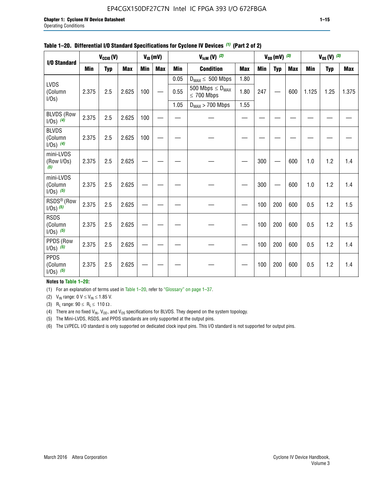#### EP4CGX150DF27C7N Intel IC FPGA 393 I/O 672FBGA

|                                         |            | $V_{CClO}(V)$ |            |     | $V_{ID}(mV)$ |            | $V_{\text{lcm}}(V)^{(2)}$                  |            |     | $V_{OD}$ (mV) $(3)$ |            |       | $V_{0S} (V)$ (3) |       |
|-----------------------------------------|------------|---------------|------------|-----|--------------|------------|--------------------------------------------|------------|-----|---------------------|------------|-------|------------------|-------|
| I/O Standard                            | <b>Min</b> | <b>Typ</b>    | <b>Max</b> | Min | <b>Max</b>   | <b>Min</b> | <b>Condition</b>                           | <b>Max</b> | Min | Typ                 | <b>Max</b> | Min   | <b>Typ</b>       | Max   |
|                                         |            |               |            |     |              | 0.05       | $D_{MAX} \leq 500$ Mbps                    | 1.80       |     |                     |            |       |                  |       |
| <b>LVDS</b><br>(Column<br>I/Os)         | 2.375      | 2.5           | 2.625      | 100 |              | 0.55       | 500 Mbps $\leq D_{MAX}$<br>$\leq 700$ Mbps | 1.80       | 247 |                     | 600        | 1.125 | 1.25             | 1.375 |
|                                         |            |               |            |     |              | 1.05       | $D_{MAX}$ > 700 Mbps                       | 1.55       |     |                     |            |       |                  |       |
| <b>BLVDS (Row</b><br>$1/0s)$ (4)        | 2.375      | 2.5           | 2.625      | 100 |              |            |                                            |            |     |                     |            |       |                  |       |
| <b>BLVDS</b><br>(Column<br>$1/0s)$ (4)  | 2.375      | 2.5           | 2.625      | 100 |              |            |                                            |            |     |                     |            |       |                  |       |
| mini-LVDS<br>(Row I/Os)<br>(5)          | 2.375      | 2.5           | 2.625      |     |              |            |                                            |            | 300 |                     | 600        | 1.0   | 1.2              | 1.4   |
| mini-LVDS<br>(Column<br>$1/Os)$ (5)     | 2.375      | 2.5           | 2.625      |     |              |            |                                            |            | 300 |                     | 600        | 1.0   | 1.2              | 1.4   |
| RSDS <sup>®</sup> (Row<br>$1/0s)$ $(5)$ | 2.375      | 2.5           | 2.625      |     |              |            |                                            |            | 100 | 200                 | 600        | 0.5   | 1.2              | 1.5   |
| <b>RSDS</b><br>(Column<br>$1/Os)$ (5)   | 2.375      | 2.5           | 2.625      |     |              |            |                                            |            | 100 | 200                 | 600        | 0.5   | 1.2              | 1.5   |
| PPDS (Row<br>$1/Os)$ (5)                | 2.375      | 2.5           | 2.625      |     |              |            |                                            |            | 100 | 200                 | 600        | 0.5   | 1.2              | 1.4   |
| <b>PPDS</b><br>(Column<br>$1/Os)$ (5)   | 2.375      | 2.5           | 2.625      |     |              |            |                                            |            | 100 | 200                 | 600        | 0.5   | 1.2              | 1.4   |

#### **Table 1–20. Differential I/O Standard Specifications for Cyclone IV Devices** *(1)* **(Part 2 of 2)**

#### **Notes to Table 1–20:**

(1) For an explanation of terms used in Table 1–20, refer to "Glossary" on page 1–37.

(2)  $V_{IN}$  range: 0  $V \le V_{IN} \le 1.85$  V.

(3) R<sub>L</sub> range:  $90 \le R_L \le 110 \Omega$ .

(4) There are no fixed  $V_{IN}$ ,  $V_{OD}$ , and  $V_{OS}$  specifications for BLVDS. They depend on the system topology.

(5) The Mini-LVDS, RSDS, and PPDS standards are only supported at the output pins.

(6) The LVPECL I/O standard is only supported on dedicated clock input pins. This I/O standard is not supported for output pins.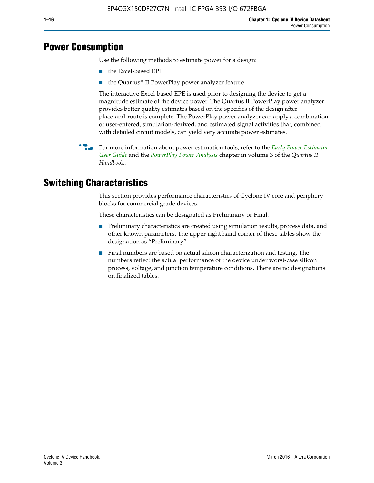## **Power Consumption**

Use the following methods to estimate power for a design:

- the Excel-based EPE
- the Quartus® II PowerPlay power analyzer feature

The interactive Excel-based EPE is used prior to designing the device to get a magnitude estimate of the device power. The Quartus II PowerPlay power analyzer provides better quality estimates based on the specifics of the design after place-and-route is complete. The PowerPlay power analyzer can apply a combination of user-entered, simulation-derived, and estimated signal activities that, combined with detailed circuit models, can yield very accurate power estimates.

f For more information about power estimation tools, refer to the *[Early Power Estimator](http://www.altera.com/literature/ug/ug_epe.pdf
)  [User Guide](http://www.altera.com/literature/ug/ug_epe.pdf
)* and the *[PowerPlay Power Analysis](http://www.altera.com/literature/hb/qts/qts_qii53013.pdf)* chapter in volume 3 of the *Quartus II Handboo*k.

## **Switching Characteristics**

This section provides performance characteristics of Cyclone IV core and periphery blocks for commercial grade devices.

These characteristics can be designated as Preliminary or Final.

- Preliminary characteristics are created using simulation results, process data, and other known parameters. The upper-right hand corner of these tables show the designation as "Preliminary".
- Final numbers are based on actual silicon characterization and testing. The numbers reflect the actual performance of the device under worst-case silicon process, voltage, and junction temperature conditions. There are no designations on finalized tables.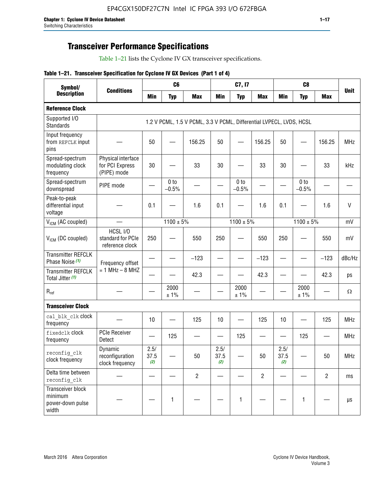## **Transceiver Performance Specifications**

Table 1–21 lists the Cyclone IV GX transceiver specifications.

|  |  |  |  | Table 1-21. Transceiver Specification for Cyclone IV GX Devices (Part 1 of 4) |  |
|--|--|--|--|-------------------------------------------------------------------------------|--|
|--|--|--|--|-------------------------------------------------------------------------------|--|

| Symbol/                                                   |                                                      |                     | C <sub>6</sub>             |                                                                     |                     | C7, I7                     |                |                     | C <sub>8</sub>             |                |               |
|-----------------------------------------------------------|------------------------------------------------------|---------------------|----------------------------|---------------------------------------------------------------------|---------------------|----------------------------|----------------|---------------------|----------------------------|----------------|---------------|
| <b>Description</b>                                        | <b>Conditions</b>                                    | <b>Min</b>          | <b>Typ</b>                 | <b>Max</b>                                                          | <b>Min</b>          | <b>Typ</b>                 | <b>Max</b>     | <b>Min</b>          | <b>Typ</b>                 | <b>Max</b>     | <b>Unit</b>   |
| <b>Reference Clock</b>                                    |                                                      |                     |                            |                                                                     |                     |                            |                |                     |                            |                |               |
| Supported I/O<br><b>Standards</b>                         |                                                      |                     |                            | 1.2 V PCML, 1.5 V PCML, 3.3 V PCML, Differential LVPECL, LVDS, HCSL |                     |                            |                |                     |                            |                |               |
| Input frequency<br>from REFCLK input<br>pins              |                                                      | 50                  |                            | 156.25                                                              | 50                  |                            | 156.25         | 50                  | $\overline{\phantom{0}}$   | 156.25         | <b>MHz</b>    |
| Spread-spectrum<br>modulating clock<br>frequency          | Physical interface<br>for PCI Express<br>(PIPE) mode | 30                  |                            | 33                                                                  | 30                  |                            | 33             | 30                  |                            | 33             | kHz           |
| Spread-spectrum<br>downspread                             | PIPE mode                                            |                     | 0 <sub>to</sub><br>$-0.5%$ |                                                                     |                     | 0 <sub>to</sub><br>$-0.5%$ |                |                     | 0 <sub>to</sub><br>$-0.5%$ |                |               |
| Peak-to-peak<br>differential input<br>voltage             |                                                      | 0.1                 |                            | 1.6                                                                 | 0.1                 |                            | 1.6            | 0.1                 |                            | 1.6            | $\mathsf{V}$  |
| V <sub>ICM</sub> (AC coupled)                             |                                                      |                     | $1100 \pm 5\%$             |                                                                     |                     | $1100 \pm 5\%$             |                |                     | $1100 \pm 5\%$             |                | mV            |
| V <sub>ICM</sub> (DC coupled)                             | HCSL I/O<br>standard for PCIe<br>reference clock     | 250                 |                            | 550                                                                 | 250                 |                            | 550            | 250                 |                            | 550            | mV            |
| <b>Transmitter REFCLK</b><br>Phase Noise (1)              | Frequency offset                                     |                     |                            | $-123$                                                              |                     |                            | $-123$         |                     |                            | $-123$         | dBc/Hz        |
| <b>Transmitter REFCLK</b><br>Total Jitter (1)             | $= 1$ MHz $- 8$ MHZ                                  |                     |                            | 42.3                                                                |                     |                            | 42.3           |                     |                            | 42.3           | ps            |
| $R_{ref}$                                                 |                                                      |                     | 2000<br>± 1%               |                                                                     |                     | 2000<br>± 1%               |                |                     | 2000<br>± 1%               |                | $\Omega$      |
| <b>Transceiver Clock</b>                                  |                                                      |                     |                            |                                                                     |                     |                            |                |                     |                            |                |               |
| cal blk clk clock<br>frequency                            |                                                      | 10                  |                            | 125                                                                 | 10                  |                            | 125            | 10                  |                            | 125            | <b>MHz</b>    |
| fixedclk Clock<br>frequency                               | <b>PCIe Receiver</b><br>Detect                       |                     | 125                        |                                                                     |                     | 125                        |                |                     | 125                        |                | <b>MHz</b>    |
| reconfig clk<br>clock frequency                           | Dynamic<br>reconfiguration<br>clock frequency        | 2.5/<br>37.5<br>(2) |                            | 50                                                                  | 2.5/<br>37.5<br>(2) |                            | 50             | 2.5/<br>37.5<br>(2) |                            | 50             | <b>MHz</b>    |
| Delta time between<br>reconfig clk                        |                                                      |                     |                            | $\overline{c}$                                                      |                     |                            | $\overline{2}$ |                     |                            | $\overline{2}$ | ms            |
| Transceiver block<br>minimum<br>power-down pulse<br>width |                                                      |                     | 1                          |                                                                     |                     | $\mathbf{1}$               |                |                     | 1                          |                | $\mu\text{s}$ |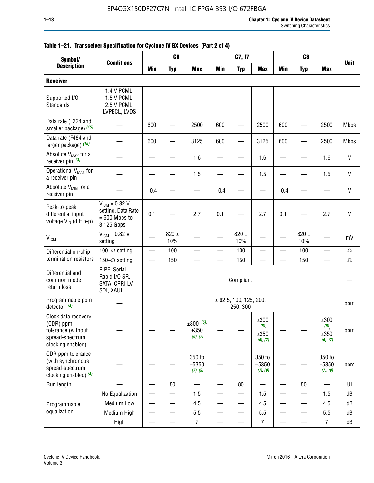| Symbol/                                                                                        | C <sub>8</sub><br>C <sub>6</sub><br>C7, I7<br><b>Conditions</b><br><b>Min</b><br><b>Max</b><br><b>Min</b><br><b>Max</b><br><b>Min</b><br><b>Max</b><br><b>Typ</b><br><b>Typ</b><br><b>Typ</b> |                          |                  |                                 |                          |                                    |                                     |        |                  |                                                |              |
|------------------------------------------------------------------------------------------------|-----------------------------------------------------------------------------------------------------------------------------------------------------------------------------------------------|--------------------------|------------------|---------------------------------|--------------------------|------------------------------------|-------------------------------------|--------|------------------|------------------------------------------------|--------------|
| <b>Description</b>                                                                             |                                                                                                                                                                                               |                          |                  |                                 |                          |                                    |                                     |        |                  |                                                | <b>Unit</b>  |
| <b>Receiver</b>                                                                                |                                                                                                                                                                                               |                          |                  |                                 |                          |                                    |                                     |        |                  |                                                |              |
| Supported I/O<br>Standards                                                                     | 1.4 V PCML,<br>1.5 V PCML,<br>2.5 V PCML,<br>LVPECL, LVDS                                                                                                                                     |                          |                  |                                 |                          |                                    |                                     |        |                  |                                                |              |
| Data rate (F324 and<br>smaller package) (15)                                                   |                                                                                                                                                                                               | 600                      |                  | 2500                            | 600                      |                                    | 2500                                | 600    |                  | 2500                                           | <b>Mbps</b>  |
| Data rate (F484 and<br>larger package) (15)                                                    |                                                                                                                                                                                               | 600                      |                  | 3125                            | 600                      |                                    | 3125                                | 600    |                  | 2500                                           | <b>Mbps</b>  |
| Absolute V <sub>MAX</sub> for a<br>receiver pin $(3)$                                          |                                                                                                                                                                                               |                          |                  | 1.6                             |                          |                                    | 1.6                                 |        |                  | 1.6                                            | $\mathsf{V}$ |
| Operational V <sub>MAX</sub> for<br>a receiver pin                                             |                                                                                                                                                                                               |                          |                  | 1.5                             |                          |                                    | 1.5                                 |        |                  | 1.5                                            | V            |
| Absolute V <sub>MIN</sub> for a<br>receiver pin                                                |                                                                                                                                                                                               | $-0.4$                   |                  |                                 | $-0.4$                   |                                    |                                     | $-0.4$ |                  |                                                | $\mathsf{V}$ |
| Peak-to-peak<br>differential input<br>voltage V <sub>ID</sub> (diff p-p)                       | $V_{ICM} = 0.82 V$<br>setting, Data Rate<br>$= 600$ Mbps to<br>3.125 Gbps                                                                                                                     | 0.1                      |                  | 2.7                             | 0.1                      |                                    | 2.7                                 | 0.1    |                  | 2.7                                            | $\mathsf{V}$ |
| <b>V<sub>ICM</sub></b>                                                                         | $V_{IGM} = 0.82 V$<br>setting                                                                                                                                                                 |                          | $820 \pm$<br>10% |                                 |                          | 820 $\pm$<br>10%                   |                                     |        | $820 \pm$<br>10% |                                                | mV           |
| Differential on-chip                                                                           | 100 $-\Omega$ setting                                                                                                                                                                         |                          | 100              |                                 |                          | 100                                |                                     |        | 100              | $\overline{\phantom{0}}$                       | $\Omega$     |
| termination resistors                                                                          | 150 $-\Omega$ setting                                                                                                                                                                         |                          | 150              |                                 |                          | 150                                |                                     |        | 150              |                                                | $\Omega$     |
| Differential and<br>common mode<br>return loss                                                 | PIPE, Serial<br>Rapid I/O SR,<br>SATA, CPRI LV,<br>SDI, XAUI                                                                                                                                  |                          |                  |                                 |                          | Compliant                          |                                     |        |                  |                                                |              |
| Programmable ppm<br>detector $(4)$                                                             |                                                                                                                                                                                               |                          |                  |                                 |                          | ± 62.5, 100, 125, 200,<br>250, 300 |                                     |        |                  |                                                | ppm          |
| Clock data recovery<br>(CDR) ppm<br>tolerance (without<br>spread-spectrum<br>clocking enabled) |                                                                                                                                                                                               |                          |                  | $±300$ (5),<br>±350<br>(6), (7) |                          |                                    | ±300<br>$(5)$ ,<br>±350<br>(6), (7) |        |                  | ±300<br>$(5)$ <sub>,</sub><br>±350<br>(6), (7) | ppm          |
| CDR ppm tolerance<br>(with synchronous<br>spread-spectrum<br>clocking enabled) (8)             |                                                                                                                                                                                               |                          |                  | 350 to<br>$-5350$<br>(7), (9)   |                          |                                    | 350 to<br>$-5350$<br>(7), (9)       |        |                  | 350 to<br>$-5350$<br>(7), (9)                  | ppm          |
| Run length                                                                                     |                                                                                                                                                                                               |                          | 80               |                                 |                          | 80                                 |                                     |        | 80               |                                                | UI           |
|                                                                                                | No Equalization                                                                                                                                                                               |                          |                  | 1.5                             |                          |                                    | 1.5                                 | e e    |                  | 1.5                                            | ${\sf dB}$   |
| Programmable                                                                                   | <b>Medium Low</b>                                                                                                                                                                             |                          | —                | 4.5                             |                          | $\overline{\phantom{0}}$           | 4.5                                 |        | $\qquad \qquad$  | 4.5                                            | dB           |
| equalization                                                                                   | Medium High                                                                                                                                                                                   | $\overline{\phantom{0}}$ |                  | $5.5\,$                         | $\qquad \qquad$          |                                    | 5.5                                 | —      | —                | 5.5                                            | dB           |
|                                                                                                | High                                                                                                                                                                                          | $\overline{\phantom{0}}$ | —                | $\overline{7}$                  | $\overline{\phantom{0}}$ |                                    | $\overline{7}$                      | —      |                  | $\overline{7}$                                 | dB           |

#### **Table 1–21. Transceiver Specification for Cyclone IV GX Devices (Part 2 of 4)**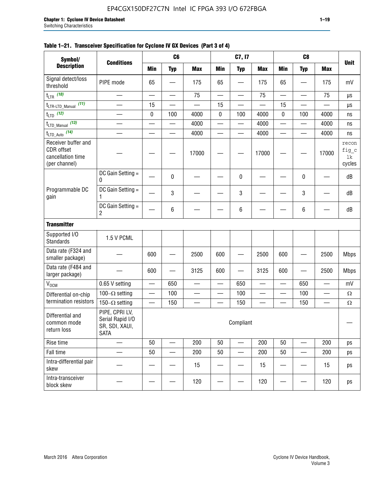| Symbol/                                                                 |                                                                     |             | C <sub>6</sub>           |                          |                          | C7, I7                   |            |                          | C <sub>8</sub>           |                          |                                |
|-------------------------------------------------------------------------|---------------------------------------------------------------------|-------------|--------------------------|--------------------------|--------------------------|--------------------------|------------|--------------------------|--------------------------|--------------------------|--------------------------------|
| <b>Description</b>                                                      | <b>Conditions</b>                                                   | <b>Min</b>  | <b>Typ</b>               | <b>Max</b>               | <b>Min</b>               | <b>Typ</b>               | <b>Max</b> | <b>Min</b>               | <b>Typ</b>               | <b>Max</b>               | <b>Unit</b>                    |
| Signal detect/loss<br>threshold                                         | PIPE mode                                                           | 65          |                          | 175                      | 65                       |                          | 175        | 65                       |                          | 175                      | mV                             |
| $t_{LTR}$ (10)                                                          |                                                                     |             | $\overline{\phantom{0}}$ | 75                       | $\overline{\phantom{0}}$ |                          | 75         | $\overline{\phantom{0}}$ |                          | 75                       | μs                             |
| (11)<br>t <sub>LTR-LTD_Manual</sub>                                     |                                                                     | 15          |                          |                          | 15                       |                          |            | 15                       |                          |                          | μs                             |
| $t_{LTD}$ (12)                                                          |                                                                     | $\mathbf 0$ | 100                      | 4000                     | 0                        | 100                      | 4000       | $\mathbf 0$              | 100                      | 4000                     | ns                             |
| $t_{\text{LTD\_Manual}}$ (13)                                           |                                                                     |             | —                        | 4000                     | —                        | —                        | 4000       | —                        | $\overline{\phantom{0}}$ | 4000                     | ns                             |
| $t_{\text{LTD\_Auto}}$ (14)                                             |                                                                     |             |                          | 4000                     | $\overline{\phantom{0}}$ | $\overline{\phantom{0}}$ | 4000       | $\overline{\phantom{0}}$ | $\overline{\phantom{0}}$ | 4000                     | ns                             |
| Receiver buffer and<br>CDR offset<br>cancellation time<br>(per channel) |                                                                     |             |                          | 17000                    |                          |                          | 17000      |                          |                          | 17000                    | recon<br>fig_c<br>lk<br>cycles |
|                                                                         | DC Gain Setting =<br>0                                              |             | 0                        |                          |                          | 0                        |            |                          | 0                        |                          | dB                             |
| Programmable DC<br>gain                                                 | DC Gain Setting =<br>1                                              |             | 3                        |                          |                          | 3                        |            |                          | 3                        |                          | dB                             |
|                                                                         | DC Gain Setting =<br>$\overline{c}$                                 |             | 6                        |                          |                          | 6                        |            |                          | 6                        |                          | dB                             |
| <b>Transmitter</b>                                                      |                                                                     |             |                          |                          |                          |                          |            |                          |                          |                          |                                |
| Supported I/O<br><b>Standards</b>                                       | 1.5 V PCML                                                          |             |                          |                          |                          |                          |            |                          |                          |                          |                                |
| Data rate (F324 and<br>smaller package)                                 |                                                                     | 600         |                          | 2500                     | 600                      |                          | 2500       | 600                      |                          | 2500                     | <b>Mbps</b>                    |
| Data rate (F484 and<br>larger package)                                  |                                                                     | 600         |                          | 3125                     | 600                      |                          | 3125       | 600                      |                          | 2500                     | <b>Mbps</b>                    |
| V <sub>OCM</sub>                                                        | 0.65 V setting                                                      |             | 650                      |                          |                          | 650                      |            |                          | 650                      |                          | mV                             |
| Differential on-chip                                                    | 100 $-\Omega$ setting                                               | —           | 100                      | $\overline{\phantom{0}}$ | $\overline{\phantom{0}}$ | 100                      |            | —                        | 100                      | —                        | $\Omega$                       |
| termination resistors                                                   | 150 $-\Omega$ setting                                               |             | 150                      | $\qquad \qquad \qquad$   |                          | 150                      |            |                          | 150                      | $\overline{\phantom{0}}$ | $\Omega$                       |
| Differential and<br>common mode<br>return loss                          | PIPE, CPRI LV,<br>Serial Rapid I/O<br>SR, SDI, XAUI,<br><b>SATA</b> |             |                          |                          |                          | Compliant                |            |                          |                          |                          |                                |
| Rise time                                                               |                                                                     | 50          |                          | 200                      | 50                       |                          | 200        | 50                       |                          | 200                      | ps                             |
| Fall time                                                               |                                                                     | 50          |                          | 200                      | 50                       |                          | 200        | 50                       |                          | 200                      | ps                             |
| Intra-differential pair<br>skew                                         |                                                                     |             |                          | 15                       |                          |                          | 15         |                          |                          | 15                       | ps                             |
| Intra-transceiver<br>block skew                                         |                                                                     |             |                          | 120                      |                          |                          | 120        |                          |                          | 120                      | ps                             |

#### **Table 1–21. Transceiver Specification for Cyclone IV GX Devices (Part 3 of 4)**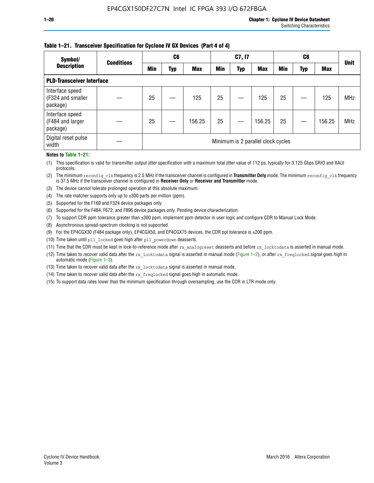#### **Table 1–21. Transceiver Specification for Cyclone IV GX Devices (Part 4 of 4)**

| Symbol/                                          | <b>Conditions</b> |            | C <sub>6</sub> |            |            | C7, I7     |                                    |            | C8  |            | <b>Unit</b> |
|--------------------------------------------------|-------------------|------------|----------------|------------|------------|------------|------------------------------------|------------|-----|------------|-------------|
| <b>Description</b>                               |                   | <b>Min</b> | Typ            | <b>Max</b> | <b>Min</b> | <b>Typ</b> | <b>Max</b>                         | <b>Min</b> | Typ | <b>Max</b> |             |
| <b>PLD-Transceiver Interface</b>                 |                   |            |                |            |            |            |                                    |            |     |            |             |
| Interface speed<br>(F324 and smaller<br>package) |                   | 25         |                | 125        | 25         |            | 125                                | 25         |     | 125        | <b>MHz</b>  |
| Interface speed<br>(F484 and larger<br>package)  |                   | 25         |                | 156.25     | 25         |            | 156.25                             | 25         |     | 156.25     | <b>MHz</b>  |
| Digital reset pulse<br>width                     |                   |            |                |            |            |            | Minimum is 2 parallel clock cycles |            |     |            |             |

#### **Notes to Table 1–21:**

(1) This specification is valid for transmitter output jitter specification with a maximum total jitter value of 112 ps, typically for 3.125 Gbps SRIO and XAUI protocols.

(2) The minimum reconfig\_clk frequency is 2.5 MHz if the transceiver channel is configured in **Transmitter Only** mode. The minimum reconfig\_clk frequency is 37.5 MHz if the transceiver channel is configured in **Receiver Only** or **Receiver and Transmitter** mode.

(3) The device cannot tolerate prolonged operation at this absolute maximum.

- (4) The rate matcher supports only up to  $\pm 300$  parts per million (ppm).
- (5) Supported for the F169 and F324 device packages only.
- (6) Supported for the F484, F672, and F896 device packages only. Pending device characterization.
- (7) To support CDR ppm tolerance greater than ±300 ppm, implement ppm detector in user logic and configure CDR to Manual Lock Mode.
- (8) Asynchronous spread-spectrum clocking is not supported.
- (9) For the EP4CGX30 (F484 package only), EP4CGX50, and EP4CGX75 devices, the CDR ppl tolerance is ±200 ppm.
- (10) Time taken until pll\_locked goes high after pll\_powerdown deasserts.
- (11) Time that the CDR must be kept in lock-to-reference mode after rx analogreset deasserts and before rx locktodata is asserted in manual mode.

(12) Time taken to recover valid data after the rx locktodata signal is asserted in manual mode (Figure 1–2), or after rx freqlocked signal goes high in automatic mode (Figure 1–3).

(13) Time taken to recover valid data after the rx locktodata signal is asserted in manual mode.

- (14) Time taken to recover valid data after the rx freqlocked signal goes high in automatic mode.
- (15) To support data rates lower than the minimum specification through oversampling, use the CDR in LTR mode only.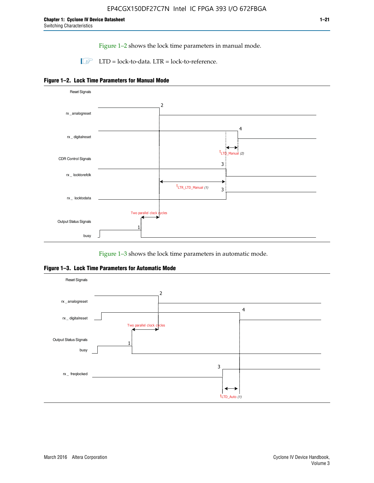Figure 1–2 shows the lock time parameters in manual mode.

 $\Box$  LTD = lock-to-data. LTR = lock-to-reference.





Figure 1–3 shows the lock time parameters in automatic mode.

**Figure 1–3. Lock Time Parameters for Automatic Mode**

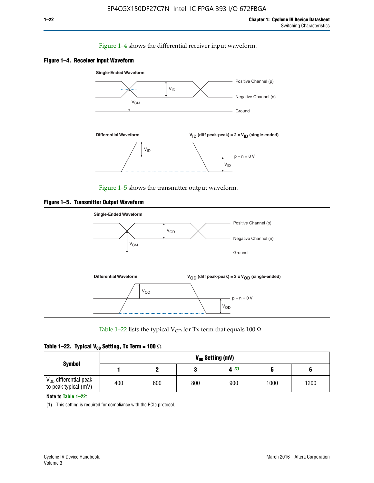#### Figure 1–4 shows the differential receiver input waveform.





Figure 1–5 shows the transmitter output waveform.





Table 1–22 lists the typical V<sub>OD</sub> for Tx term that equals 100  $\Omega$ .

|  |  | Table 1–22. Typical V <sub>0D</sub> Setting, Tx Term = 100 $\Omega$ |  |  |
|--|--|---------------------------------------------------------------------|--|--|
|--|--|---------------------------------------------------------------------|--|--|

| <b>Symbol</b>                                          | V <sub>on</sub> Setting (mV) |     |     |      |      |      |  |  |  |  |
|--------------------------------------------------------|------------------------------|-----|-----|------|------|------|--|--|--|--|
|                                                        |                              |     |     | 4(1) |      |      |  |  |  |  |
| $\rm V_{OD}$ differential peak<br>to peak typical (mV) | 400                          | 600 | 800 | 900  | 1000 | 1200 |  |  |  |  |

**Note to Table 1–22:**

(1) This setting is required for compliance with the PCIe protocol.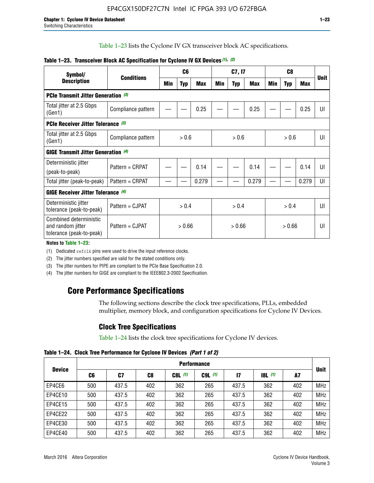Table 1–23 lists the Cyclone IV GX transceiver block AC specifications.

| Symbol/                                                                 | <b>Conditions</b>  |        | C <sub>6</sub> |            | C7, I7 |            |        | C <sub>8</sub> |            |                | <b>Unit</b> |
|-------------------------------------------------------------------------|--------------------|--------|----------------|------------|--------|------------|--------|----------------|------------|----------------|-------------|
| <b>Description</b>                                                      |                    | Min    | <b>Typ</b>     | <b>Max</b> | Min    | <b>Typ</b> | Max    | Min            | <b>Typ</b> | <b>Max</b>     |             |
| <b>PCIe Transmit Jitter Generation (3)</b>                              |                    |        |                |            |        |            |        |                |            |                |             |
| Total jitter at 2.5 Gbps<br>(Gen1)                                      | Compliance pattern |        |                | 0.25       |        |            | 0.25   |                |            | 0.25           | UI          |
| <b>PCIe Receiver Jitter Tolerance (3)</b>                               |                    |        |                |            |        |            |        |                |            |                |             |
| Total jitter at 2.5 Gbps<br>(Gen1)                                      | Compliance pattern | > 0.6  |                | > 0.6      |        | > 0.6      |        | UI             |            |                |             |
| <b>GIGE Transmit Jitter Generation (4)</b>                              |                    |        |                |            |        |            |        |                |            |                |             |
| Deterministic jitter                                                    | Pattern = CRPAT    |        |                | 0.14       |        |            | 0.14   |                |            | 0.14           | UI          |
| (peak-to-peak)                                                          |                    |        |                |            |        |            |        |                |            |                |             |
| Total jitter (peak-to-peak)                                             | Pattern = CRPAT    |        |                | 0.279      |        |            | 0.279  |                |            | 0.279          | UI          |
| <b>GIGE Receiver Jitter Tolerance</b> (4)                               |                    |        |                |            |        |            |        |                |            |                |             |
| Deterministic jitter<br>tolerance (peak-to-peak)                        | Pattern = CJPAT    | > 0.4  |                | > 0.4      |        |            | > 0.4  |                |            | $\mathsf{III}$ |             |
| Combined deterministic<br>and random jitter<br>tolerance (peak-to-peak) | Pattern = CJPAT    | > 0.66 |                | > 0.66     |        |            | > 0.66 |                |            | UI             |             |

#### **Table 1–23. Transceiver Block AC Specification for Cyclone IV GX Devices** *(1)***,** *(2)*

**Notes to Table 1–23:**

(1) Dedicated refclk pins were used to drive the input reference clocks.

(2) The jitter numbers specified are valid for the stated conditions only.

(3) The jitter numbers for PIPE are compliant to the PCIe Base Specification 2.0.

(4) The jitter numbers for GIGE are compliant to the IEEE802.3-2002 Specification.

## **Core Performance Specifications**

The following sections describe the clock tree specifications, PLLs, embedded multiplier, memory block, and configuration specifications for Cyclone IV Devices.

## **Clock Tree Specifications**

Table 1–24 lists the clock tree specifications for Cyclone IV devices.

**Table 1–24. Clock Tree Performance for Cyclone IV Devices** *(Part 1 of 2)*

|               |     |       |     |           | <b>Performance</b> |               |                  |     |             |  |
|---------------|-----|-------|-----|-----------|--------------------|---------------|------------------|-----|-------------|--|
| <b>Device</b> | C6  | C7    | C8  | $C8L$ (1) | $C9L$ $(1)$        | $\mathsf{I}7$ | <b>18L</b> $(1)$ | A7  | <b>Unit</b> |  |
| EP4CE6        | 500 | 437.5 | 402 | 362       | 265                | 437.5         | 362              | 402 | <b>MHz</b>  |  |
| EP4CE10       | 500 | 437.5 | 402 | 362       | 265                | 437.5         | 362              | 402 | <b>MHz</b>  |  |
| EP4CE15       | 500 | 437.5 | 402 | 362       | 265                | 437.5         | 362              | 402 | <b>MHz</b>  |  |
| EP4CE22       | 500 | 437.5 | 402 | 362       | 265                | 437.5         | 362              | 402 | <b>MHz</b>  |  |
| EP4CE30       | 500 | 437.5 | 402 | 362       | 265                | 437.5         | 362              | 402 | <b>MHz</b>  |  |
| EP4CE40       | 500 | 437.5 | 402 | 362       | 265                | 437.5         | 362              | 402 | <b>MHz</b>  |  |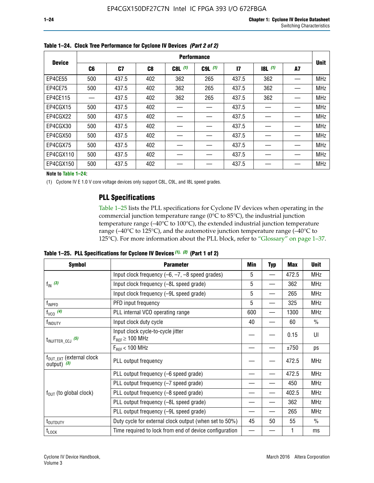|               | <b>Performance</b> |       |     |           |             |              |           |    |             |
|---------------|--------------------|-------|-----|-----------|-------------|--------------|-----------|----|-------------|
| <b>Device</b> | C6                 | C7    | C8  | $C8L$ (1) | $C9L$ $(1)$ | $\mathbf{I}$ | $18L$ (1) | A7 | <b>Unit</b> |
| EP4CE55       | 500                | 437.5 | 402 | 362       | 265         | 437.5        | 362       |    | <b>MHz</b>  |
| EP4CE75       | 500                | 437.5 | 402 | 362       | 265         | 437.5        | 362       |    | <b>MHz</b>  |
| EP4CE115      |                    | 437.5 | 402 | 362       | 265         | 437.5        | 362       |    | <b>MHz</b>  |
| EP4CGX15      | 500                | 437.5 | 402 |           |             | 437.5        |           |    | <b>MHz</b>  |
| EP4CGX22      | 500                | 437.5 | 402 |           |             | 437.5        |           |    | <b>MHz</b>  |
| EP4CGX30      | 500                | 437.5 | 402 |           |             | 437.5        |           |    | <b>MHz</b>  |
| EP4CGX50      | 500                | 437.5 | 402 |           |             | 437.5        |           |    | <b>MHz</b>  |
| EP4CGX75      | 500                | 437.5 | 402 |           |             | 437.5        |           |    | <b>MHz</b>  |
| EP4CGX110     | 500                | 437.5 | 402 |           |             | 437.5        |           |    | <b>MHz</b>  |
| EP4CGX150     | 500                | 437.5 | 402 |           |             | 437.5        |           |    | <b>MHz</b>  |

**Table 1–24. Clock Tree Performance for Cyclone IV Devices** *(Part 2 of 2)*

**Note to Table 1–24:**

(1) Cyclone IV E 1.0 V core voltage devices only support C8L, C9L, and I8L speed grades.

### **PLL Specifications**

Table 1–25 lists the PLL specifications for Cyclone IV devices when operating in the commercial junction temperature range (0°C to 85°C), the industrial junction temperature range (–40°C to 100°C), the extended industrial junction temperature range (–40°C to 125°C), and the automotive junction temperature range (–40°C to 125°C). For more information about the PLL block, refer to "Glossary" on page 1–37.

|  |  | Table 1–25. PLL Specifications for Cyclone IV Devices $(1)$ , $(2)$ (Part 1 of 2) |  |
|--|--|-----------------------------------------------------------------------------------|--|
|--|--|-----------------------------------------------------------------------------------|--|

| <b>Symbol</b>                                          | <b>Parameter</b>                                            | Min | <b>Typ</b>               | Max   | <b>Unit</b>   |
|--------------------------------------------------------|-------------------------------------------------------------|-----|--------------------------|-------|---------------|
|                                                        | Input clock frequency $(-6, -7, -8)$ speed grades)          | 5   | —                        | 472.5 | <b>MHz</b>    |
| $f_{\text{IN}}$ (3)                                    | Input clock frequency (-8L speed grade)                     | 5   |                          | 362   | <b>MHz</b>    |
|                                                        | Input clock frequency (-9L speed grade)                     | 5   |                          | 265   | <b>MHz</b>    |
| f <sub>INPFD</sub>                                     | PFD input frequency                                         | 5   |                          | 325   | <b>MHz</b>    |
| $f_{VCO}$ (4)                                          | PLL internal VCO operating range                            | 600 | $\overline{\phantom{0}}$ | 1300  | <b>MHz</b>    |
| f <sub>INDUTY</sub>                                    | Input clock duty cycle                                      | 40  |                          | 60    | $\frac{0}{0}$ |
| $t_{\text{INJITTER\_CCJ}}$ (5)                         | Input clock cycle-to-cycle jitter<br>$F_{REF} \geq 100$ MHz |     |                          | 0.15  | UI            |
|                                                        | $F_{RFF}$ < 100 MHz                                         |     |                          | ±750  | ps            |
| $f_{\text{OUT\_EXT}}$ (external clock<br>output) $(3)$ | PLL output frequency                                        |     |                          | 472.5 | <b>MHz</b>    |
|                                                        | PLL output frequency (-6 speed grade)                       |     |                          | 472.5 | <b>MHz</b>    |
|                                                        | PLL output frequency (-7 speed grade)                       |     |                          | 450   | <b>MHz</b>    |
| $f_{OUT}$ (to global clock)                            | PLL output frequency (-8 speed grade)                       |     |                          | 402.5 | <b>MHz</b>    |
|                                                        | PLL output frequency (-8L speed grade)                      |     |                          | 362   | <b>MHz</b>    |
|                                                        | PLL output frequency (-9L speed grade)                      |     |                          | 265   | <b>MHz</b>    |
| t <sub>outputy</sub>                                   | Duty cycle for external clock output (when set to 50%)      | 45  | 50                       | 55    | $\frac{0}{0}$ |
| $t_{\text{LOCK}}$                                      | Time required to lock from end of device configuration      |     |                          |       | ms            |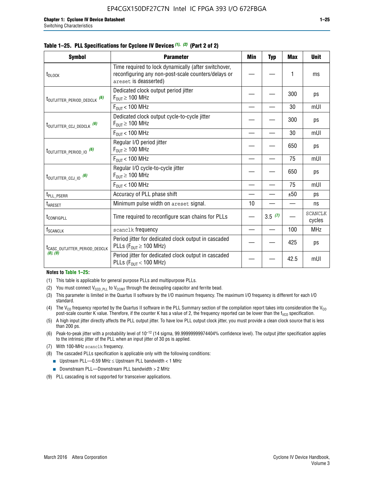|  |  | Table 1–25. PLL Specifications for Cyclone IV Devices (1), (2) (Part 2 of 2) |  |
|--|--|------------------------------------------------------------------------------|--|
|--|--|------------------------------------------------------------------------------|--|

| <b>Symbol</b>                             | <b>Parameter</b>                                                                                                                     | Min | <b>Typ</b> | Max  | <b>Unit</b>              |
|-------------------------------------------|--------------------------------------------------------------------------------------------------------------------------------------|-----|------------|------|--------------------------|
| t <sub>DLOCK</sub>                        | Time required to lock dynamically (after switchover,<br>reconfiguring any non-post-scale counters/delays or<br>areset is deasserted) |     |            | 1    | ms                       |
| t <sub>outjitter_period_dedclk</sub> (6)  | Dedicated clock output period jitter<br>$F_{OUT} \geq 100$ MHz                                                                       |     |            | 300  | ps                       |
|                                           | $F_{\text{OUT}}$ < 100 MHz                                                                                                           |     |            | 30   | mUI                      |
| t <sub>outjitter_ccj_dedclk</sub> (6)     | Dedicated clock output cycle-to-cycle jitter<br>$F_{OUT} \geq 100$ MHz                                                               |     |            | 300  | ps                       |
|                                           | $F_{OUT}$ < 100 MHz                                                                                                                  |     |            | 30   | mUI                      |
| t <sub>outjitter_period_io</sub> (6)      | Regular I/O period jitter<br>$F_{\text{OUT}} \geq 100 \text{ MHz}$                                                                   |     |            | 650  | ps                       |
|                                           | $F_{\text{OUT}}$ < 100 MHz                                                                                                           |     |            | 75   | mUI                      |
| $t_{\text{OUTJITTER\_CCJ\_IO}}$ (6)       | Regular I/O cycle-to-cycle jitter<br>$F_{OUT} \geq 100$ MHz                                                                          |     |            | 650  | ps                       |
|                                           | $F_{\text{OUT}}$ < 100 MHz                                                                                                           |     |            | 75   | mUI                      |
| t <sub>PLL_PSERR</sub>                    | Accuracy of PLL phase shift                                                                                                          |     |            | ±50  | ps                       |
| t <sub>ARESET</sub>                       | Minimum pulse width on areset signal.                                                                                                | 10  |            |      | ns                       |
| t <sub>configpll</sub>                    | Time required to reconfigure scan chains for PLLs                                                                                    |     | 3.5(7)     |      | <b>SCANCLK</b><br>cycles |
| $f_{\text{SCANCLK}}$                      | scanclk frequency                                                                                                                    |     |            | 100  | <b>MHz</b>               |
| t <sub>CASC_OUTJITTER_PERIOD_DEDCLK</sub> | Period jitter for dedicated clock output in cascaded<br>PLLs ( $F_{OUT} \ge 100$ MHz)                                                |     |            | 425  | ps                       |
| (8), (9)                                  | Period jitter for dedicated clock output in cascaded<br>PLLs ( $F_{OUT}$ < 100 MHz)                                                  |     |            | 42.5 | mUI                      |

#### **Notes to Table 1–25:**

- (1) This table is applicable for general purpose PLLs and multipurpose PLLs.
- (2) You must connect  $V_{CCD-PLL}$  to  $V_{CCINT}$  through the decoupling capacitor and ferrite bead.
- (3) This parameter is limited in the Quartus II software by the I/O maximum frequency. The maximum I/O frequency is different for each I/O standard.
- (4) The  $V_{CO}$  frequency reported by the Quartus II software in the PLL Summary section of the compilation report takes into consideration the  $V_{CO}$ post-scale counter K value. Therefore, if the counter K has a value of 2, the frequency reported can be lower than the f<sub>VCO</sub> specification.
- (5) A high input jitter directly affects the PLL output jitter. To have low PLL output clock jitter, you must provide a clean clock source that is less than 200 ps.
- (6) Peak-to-peak jitter with a probability level of 10–12 (14 sigma, 99.99999999974404% confidence level). The output jitter specification applies to the intrinsic jitter of the PLL when an input jitter of 30 ps is applied.
- (7) With 100-MHz scanclk frequency.
- (8) The cascaded PLLs specification is applicable only with the following conditions:
	- **■** Upstream PLL—0.59 MHz  $\leq$  Upstream PLL bandwidth  $<$  1 MHz
	- Downstream PLL—Downstream PLL bandwidth > 2 MHz
- (9) PLL cascading is not supported for transceiver applications.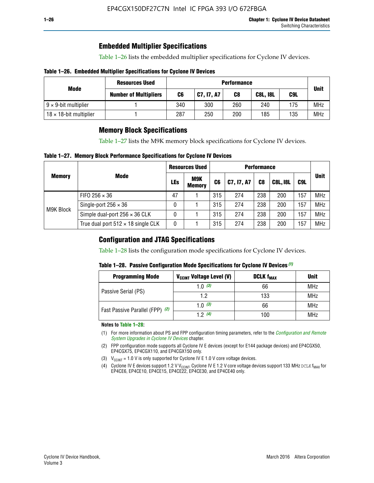### **Embedded Multiplier Specifications**

Table 1–26 lists the embedded multiplier specifications for Cyclone IV devices.

#### **Table 1–26. Embedded Multiplier Specifications for Cyclone IV Devices**

|                                | <b>Resources Used</b><br><b>Performance</b> |     |            |     |                 |     |             |  |
|--------------------------------|---------------------------------------------|-----|------------|-----|-----------------|-----|-------------|--|
| Mode                           | <b>Number of Multipliers</b>                | C6  | C7, I7, A7 | C8  | <b>C8L, I8L</b> | C9L | <b>Unit</b> |  |
| $9 \times 9$ -bit multiplier   |                                             | 340 | 300        | 260 | 240             | 175 | <b>MHz</b>  |  |
| $18 \times 18$ -bit multiplier |                                             | 287 | 250        | 200 | 185             | 135 | <b>MHz</b>  |  |

### **Memory Block Specifications**

Table 1–27 lists the M9K memory block specifications for Cyclone IV devices.

#### **Table 1–27. Memory Block Performance Specifications for Cyclone IV Devices**

|               |                                           | <b>Resources Used</b> |                      | <b>Performance</b> |            |                |                 |     |             |
|---------------|-------------------------------------------|-----------------------|----------------------|--------------------|------------|----------------|-----------------|-----|-------------|
| <b>Memory</b> | <b>Mode</b>                               | <b>LEs</b>            | M9K<br><b>Memory</b> | C <sub>6</sub>     | C7, I7, A7 | C <sub>8</sub> | <b>C8L, I8L</b> | C9L | <b>Unit</b> |
|               | FIFO 256 $\times$ 36                      | 47                    |                      | 315                | 274        | 238            | 200             | 157 | <b>MHz</b>  |
| M9K Block     | Single-port $256 \times 36$               | 0                     |                      | 315                | 274        | 238            | 200             | 157 | <b>MHz</b>  |
|               | Simple dual-port $256 \times 36$ CLK      | 0                     |                      | 315                | 274        | 238            | 200             | 157 | <b>MHz</b>  |
|               | True dual port $512 \times 18$ single CLK | 0                     |                      | 315                | 274        | 238            | 200             | 157 | <b>MHz</b>  |

### **Configuration and JTAG Specifications**

Table 1–28 lists the configuration mode specifications for Cyclone IV devices.

#### **Table 1–28. Passive Configuration Mode Specifications for Cyclone IV Devices** *(1)*

| <b>Programming Mode</b>         | V <sub>CCINT</sub> Voltage Level (V) | <b>DCLK f<sub>MAX</sub></b> | <b>Unit</b> |
|---------------------------------|--------------------------------------|-----------------------------|-------------|
| Passive Serial (PS)             | 1.0 $(3)$                            | 66                          | MHz         |
|                                 | 1.2                                  | 133                         | MHz         |
| Fast Passive Parallel (FPP) (2) | 1.0 $(3)$                            | 66                          | <b>MHz</b>  |
|                                 | 12(4)                                | 100                         | <b>MHz</b>  |

#### **Notes to Table 1–28:**

- (1) For more information about PS and FPP configuration timing parameters, refer to the *[Configuration and Remote](http://www.altera.com/literature/hb/cyclone-iv/cyiv-51008.pdf)  [System Upgrades in Cyclone IV Devices](http://www.altera.com/literature/hb/cyclone-iv/cyiv-51008.pdf)* chapter.
- (2) FPP configuration mode supports all Cyclone IV E devices (except for E144 package devices) and EP4CGX50, EP4CGX75, EP4CGX110, and EP4CGX150 only.
- (3)  $V_{CCMT}$  = 1.0 V is only supported for Cyclone IV E 1.0 V core voltage devices.
- (4) Cyclone IV E devices support 1.2 V V<sub>CCINT</sub>. Cyclone IV E 1.2 V core voltage devices support 133 MHz DCLK f<sub>MAX</sub> for EP4CE6, EP4CE10, EP4CE15, EP4CE22, EP4CE30, and EP4CE40 only.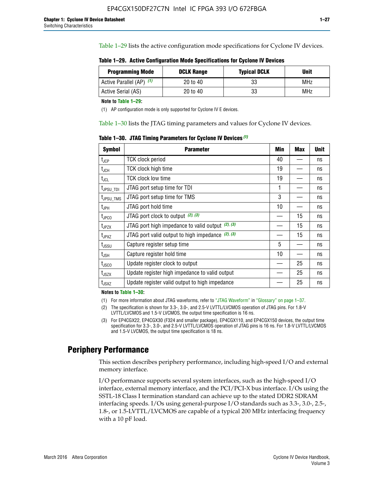Table 1–29 lists the active configuration mode specifications for Cyclone IV devices.

**Table 1–29. Active Configuration Mode Specifications for Cyclone IV Devices**

| <b>Programming Mode</b>  | <b>DCLK Range</b> | <b>Typical DCLK</b> | <b>Unit</b> |
|--------------------------|-------------------|---------------------|-------------|
| Active Parallel (AP) (1) | 20 to 40          | 33                  | MHz         |
| Active Serial (AS)       | 20 to 40          | 33                  | MHz         |

**Note to Table 1–29:**

(1) AP configuration mode is only supported for Cyclone IV E devices.

Table 1–30 lists the JTAG timing parameters and values for Cyclone IV devices.

**Table 1–30. JTAG Timing Parameters for Cyclone IV Devices** *(1)*

| Symbol                       | <b>Parameter</b>                                       | <b>Min</b> | <b>Max</b> | <b>Unit</b> |
|------------------------------|--------------------------------------------------------|------------|------------|-------------|
| t <sub>JCP</sub>             | <b>TCK clock period</b>                                | 40         |            | ns          |
| t <sub>JCH</sub>             | <b>TCK clock high time</b>                             | 19         |            | ns          |
| $t_{JCL}$                    | TCK clock low time                                     | 19         |            | ns          |
| t <sub>JPSU_TDI</sub>        | JTAG port setup time for TDI                           | 1          |            | ns          |
| t <sub>JPSU_TMS</sub>        | JTAG port setup time for TMS                           | 3          |            | ns          |
| t <sub>JPH</sub>             | JTAG port hold time                                    | 10         |            | ns          |
| t <sub>JPCO</sub>            | JTAG port clock to output $(2)$ , $(3)$                |            | 15         | ns          |
| t <sub>JPZX</sub>            | JTAG port high impedance to valid output $(2)$ , $(3)$ |            | 15         | ns          |
| t <sub>JPXZ</sub>            | JTAG port valid output to high impedance $(2)$ , $(3)$ |            | 15         | ns          |
| ${\rm t}_{\rm JSSU}$         | Capture register setup time                            | 5          |            | ns          |
| $\mathsf{t}_{\mathsf{JSH}}$  | Capture register hold time                             | 10         |            | ns          |
| $t_{\rm JSCO}$               | Update register clock to output                        |            | 25         | ns          |
| $t_{\footnotesize \rm JSZX}$ | Update register high impedance to valid output         |            | 25         | ns          |
| t <sub>JSXZ</sub>            | Update register valid output to high impedance         |            | 25         | ns          |

**Notes to Table 1–30:**

(1) For more information about JTAG waveforms, refer to "JTAG Waveform" in "Glossary" on page 1–37.

(2) The specification is shown for 3.3-, 3.0-, and 2.5-V LVTTL/LVCMOS operation of JTAG pins. For 1.8-V LVTTL/LVCMOS and 1.5-V LVCMOS, the output time specification is 16 ns.

(3) For EP4CGX22, EP4CGX30 (F324 and smaller package), EP4CGX110, and EP4CGX150 devices, the output time specification for 3.3-, 3.0-, and 2.5-V LVTTL/LVCMOS operation of JTAG pins is 16 ns. For 1.8-V LVTTL/LVCMOS and 1.5-V LVCMOS, the output time specification is 18 ns.

## **Periphery Performance**

This section describes periphery performance, including high-speed I/O and external memory interface.

I/O performance supports several system interfaces, such as the high-speed I/O interface, external memory interface, and the PCI/PCI-X bus interface. I/Os using the SSTL-18 Class I termination standard can achieve up to the stated DDR2 SDRAM interfacing speeds. I/Os using general-purpose I/O standards such as 3.3-, 3.0-, 2.5-, 1.8-, or 1.5-LVTTL/LVCMOS are capable of a typical 200 MHz interfacing frequency with a 10 pF load.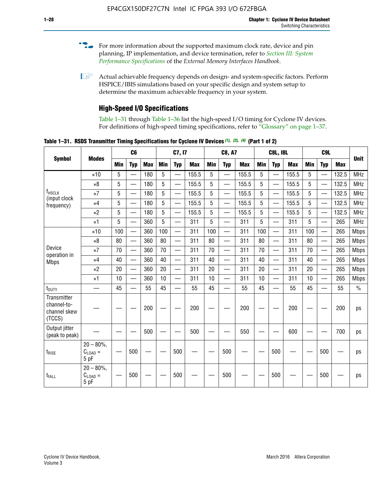- For more information about the supported maximum clock rate, device and pin planning, IP implementation, and device termination, refer to *[Section III: System](http://www.altera.com/literature/hb/external-memory/emi_intro_specs.pdf)  [Performance Specifications](http://www.altera.com/literature/hb/external-memory/emi_intro_specs.pdf)* of the *External Memory Interfaces Handbook*.
- **1 Actual achievable frequency depends on design- and system-specific factors. Perform** HSPICE/IBIS simulations based on your specific design and system setup to determine the maximum achievable frequency in your system.

## **High-Speed I/O Specifications**

Table 1–31 through Table 1–36 list the high-speed I/O timing for Cyclone IV devices. For definitions of high-speed timing specifications, refer to "Glossary" on page 1–37.

**Table 1–31. RSDS Transmitter Timing Specifications for Cyclone IV Devices** *(1)***,** *(2)***,** *(4)* **(Part 1 of 2)**

|                                                      |                                     |            | C6                       |            |            | C7, I7                   |            |                 | <b>C8, A7</b>            |            |            | <b>C8L, I8L</b>          |            |     | C <sub>9</sub> L         |            |             |
|------------------------------------------------------|-------------------------------------|------------|--------------------------|------------|------------|--------------------------|------------|-----------------|--------------------------|------------|------------|--------------------------|------------|-----|--------------------------|------------|-------------|
| <b>Symbol</b>                                        | <b>Modes</b>                        | <b>Min</b> | <b>Typ</b>               | <b>Max</b> | <b>Min</b> | <b>Typ</b>               | <b>Max</b> | <b>Min</b>      | <b>Typ</b>               | <b>Max</b> | <b>Min</b> | <b>Typ</b>               | <b>Max</b> | Min | <b>Typ</b>               | <b>Max</b> | <b>Unit</b> |
|                                                      | $\times$ 10                         | 5          | $\overline{\phantom{0}}$ | 180        | 5          | —                        | 155.5      | 5               | $\overline{\phantom{0}}$ | 155.5      | 5          |                          | 155.5      | 5   |                          | 132.5      | <b>MHz</b>  |
|                                                      | $\times 8$                          | 5          |                          | 180        | 5          |                          | 155.5      | $5\phantom{.0}$ | $\overline{\phantom{0}}$ | 155.5      | 5          |                          | 155.5      | 5   |                          | 132.5      | <b>MHz</b>  |
| f <sub>HSCLK</sub><br>(input clock                   | $\times 7$                          | 5          | $\overline{\phantom{0}}$ | 180        | 5          |                          | 155.5      | 5               | $\overline{\phantom{0}}$ | 155.5      | 5          |                          | 155.5      | 5   |                          | 132.5      | <b>MHz</b>  |
| frequency)                                           | $\times$ 4                          | 5          | $\overline{\phantom{0}}$ | 180        | 5          | $\overline{\phantom{0}}$ | 155.5      | 5               | $\equiv$                 | 155.5      | 5          | $\overline{\phantom{0}}$ | 155.5      | 5   | $\overline{\phantom{0}}$ | 132.5      | <b>MHz</b>  |
|                                                      | $\times 2$                          | 5          | $\equiv$                 | 180        | 5          |                          | 155.5      | 5               | $\equiv$                 | 155.5      | 5          | $\equiv$                 | 155.5      | 5   | $\overline{\phantom{0}}$ | 132.5      | <b>MHz</b>  |
|                                                      | $\times$ 1                          | 5          |                          | 360        | 5          |                          | 311        | 5               | $\overline{\phantom{0}}$ | 311        | 5          | $\overline{\phantom{0}}$ | 311        | 5   |                          | 265        | <b>MHz</b>  |
|                                                      | $\times$ 10                         | 100        | $\overline{\phantom{0}}$ | 360        | 100        |                          | 311        | 100             | $\overline{\phantom{0}}$ | 311        | 100        | $\overline{\phantom{0}}$ | 311        | 100 |                          | 265        | <b>Mbps</b> |
|                                                      | $\times 8$                          | 80         |                          | 360        | 80         |                          | 311        | 80              | $\overline{\phantom{0}}$ | 311        | 80         | $\overline{\phantom{0}}$ | 311        | 80  | $\overline{\phantom{0}}$ | 265        | <b>Mbps</b> |
| Device<br>operation in                               | $\times 7$                          | 70         |                          | 360        | 70         |                          | 311        | 70              | $\overline{\phantom{0}}$ | 311        | 70         | $\overline{\phantom{0}}$ | 311        | 70  | $\overline{\phantom{0}}$ | 265        | <b>Mbps</b> |
| <b>Mbps</b>                                          | $\times$ 4                          | 40         |                          | 360        | 40         |                          | 311        | 40              |                          | 311        | 40         |                          | 311        | 40  | $\overline{\phantom{0}}$ | 265        | <b>Mbps</b> |
|                                                      | $\times 2$                          | 20         |                          | 360        | 20         | $\equiv$                 | 311        | 20              | $\overline{\phantom{0}}$ | 311        | 20         |                          | 311        | 20  | $\equiv$                 | 265        | <b>Mbps</b> |
|                                                      | $\times$ 1                          | 10         |                          | 360        | 10         |                          | 311        | 10              |                          | 311        | 10         |                          | 311        | 10  | $\overline{\phantom{0}}$ | 265        | <b>Mbps</b> |
| t <sub>DUTY</sub>                                    | —                                   | 45         | $\overline{\phantom{0}}$ | 55         | 45         |                          | 55         | 45              | $\overline{\phantom{0}}$ | 55         | 45         |                          | 55         | 45  |                          | 55         | $\%$        |
| Transmitter<br>channel-to-<br>channel skew<br>(TCCS) |                                     |            |                          | 200        |            |                          | 200        |                 |                          | 200        |            |                          | 200        |     |                          | 200        | ps          |
| Output jitter<br>(peak to peak)                      |                                     |            |                          | 500        |            |                          | 500        |                 |                          | 550        |            |                          | 600        |     |                          | 700        | ps          |
| $t_{\text{RISE}}$                                    | $20 - 80\%$<br>$C_{LOAD} =$<br>5 pF |            | 500                      |            |            | 500                      |            |                 | 500                      |            |            | 500                      |            |     | 500                      |            | ps          |
| t <sub>FALL</sub>                                    | $20 - 80\%$<br>$C_{LOAD} =$<br>5 pF |            | 500                      |            |            | 500                      |            |                 | 500                      |            |            | 500                      |            |     | 500                      |            | ps          |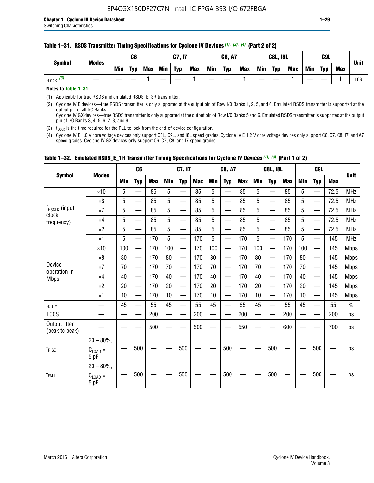| <b>Symbol</b>         | <b>Modes</b> |     | C6         |            |     | <b>C7, I7</b> |            |     | <b>C8, A7</b> |            |     | <b>C8L, I8L</b> |     |     | C <sub>9</sub> L |     | <b>Unit</b> |
|-----------------------|--------------|-----|------------|------------|-----|---------------|------------|-----|---------------|------------|-----|-----------------|-----|-----|------------------|-----|-------------|
|                       |              | Min | <b>Typ</b> | <b>Max</b> | Min | <b>Typ</b>    | <b>Max</b> | Min | <b>Typ</b>    | <b>Max</b> | Min | <b>Typ</b>      | Max | Min | <b>Typ</b>       | Max |             |
| $t_{\text{LOCK}}$ (3) |              |     |            |            |     |               |            |     |               |            |     |                 |     |     |                  |     | ms          |

**Notes to Table 1–31:**

(1) Applicable for true RSDS and emulated RSDS\_E\_3R transmitter.

(2) Cyclone IV E devices—true RSDS transmitter is only supported at the output pin of Row I/O Banks 1, 2, 5, and 6. Emulated RSDS transmitter is supported at the output pin of all I/O Banks. Cyclone IV GX devices—true RSDS transmitter is only supported at the output pin of Row I/O Banks 5 and 6. Emulated RSDS transmitter is supported at the output

pin of I/O Banks 3, 4, 5, 6, 7, 8, and 9. (3)  $t_{\text{LOCK}}$  is the time required for the PLL to lock from the end-of-device configuration.

(4) Cyclone IV E 1.0 V core voltage devices only support C8L, C9L, and I8L speed grades. Cyclone IV E 1.2 V core voltage devices only support C6, C7, C8, I7, and A7 speed grades. Cyclone IV GX devices only support C6, C7, C8, and I7 speed grades.

|                                 |                                              |     | C <sub>6</sub>           |     |            | C7, I7                   |            |                                                                                                                                                                                                                                | <b>C8, A7</b>                  |            |            | <b>C8L, I8L</b>          |            |            | C <sub>9</sub> L         |            | <b>Unit</b>   |
|---------------------------------|----------------------------------------------|-----|--------------------------|-----|------------|--------------------------|------------|--------------------------------------------------------------------------------------------------------------------------------------------------------------------------------------------------------------------------------|--------------------------------|------------|------------|--------------------------|------------|------------|--------------------------|------------|---------------|
| <b>Symbol</b>                   | <b>Modes</b>                                 | Min | <b>Typ</b>               | Max | <b>Min</b> | <b>Typ</b>               | <b>Max</b> | <b>Min</b>                                                                                                                                                                                                                     | <b>Typ</b>                     | <b>Max</b> | <b>Min</b> | <b>Typ</b>               | <b>Max</b> | <b>Min</b> | <b>Typ</b>               | <b>Max</b> |               |
|                                 | $\times$ 10                                  | 5   | $\equiv$                 | 85  | 5          |                          | 85         | 5                                                                                                                                                                                                                              | $\overline{\phantom{0}}$       | 85         | 5          | $\overline{\phantom{0}}$ | 85         | 5          |                          | 72.5       | <b>MHz</b>    |
|                                 | $\times 8$                                   | 5   | $\equiv$                 | 85  | 5          | $\sim$                   | 85         | 5                                                                                                                                                                                                                              | —                              | 85         | 5          | $\overline{\phantom{0}}$ | 85         | 5          |                          | 72.5       | <b>MHz</b>    |
| f <sub>HSCLK</sub> (input       | $\times 7$                                   | 5   | $\overline{\phantom{0}}$ | 85  | 5          |                          | 85         | 5                                                                                                                                                                                                                              | —                              | 85         | 5          | —                        | 85         | 5          |                          | 72.5       | <b>MHz</b>    |
| clock<br>frequency)             | $\times$ 4                                   | 5   | —                        | 85  | 5          | $\overline{\phantom{a}}$ | 85         | 5                                                                                                                                                                                                                              | $\overline{\phantom{0}}$       | 85         | 5          | $\overline{\phantom{0}}$ | 85         | 5          |                          | 72.5       | <b>MHz</b>    |
|                                 | $\times 2$                                   | 5   | $\overline{\phantom{0}}$ | 85  | 5          | $\sim$                   | 85         | 5                                                                                                                                                                                                                              | $\overline{\phantom{0}}$       | 85         | 5          | $\overline{\phantom{0}}$ | 85         | 5          |                          | 72.5       | <b>MHz</b>    |
|                                 | $\times$ 1                                   | 5   | —                        | 170 | 5          |                          | 170        | 5                                                                                                                                                                                                                              | $\overline{\phantom{0}}$       | 170        | 5          | $\overline{\phantom{0}}$ | 170        | 5          |                          | 145        | <b>MHz</b>    |
|                                 | $\times$ 10                                  | 100 | $\overline{\phantom{0}}$ | 170 | 100        |                          | 170        | 100                                                                                                                                                                                                                            | $\overline{\phantom{0}}$       | 170        | 100        | $\overline{\phantom{0}}$ | 170        | 100        |                          | 145        | <b>Mbps</b>   |
|                                 | $\times 8$                                   | 80  | $\overline{\phantom{0}}$ | 170 | 80         | $\overline{\phantom{0}}$ | 170        | 80                                                                                                                                                                                                                             | $\overline{\phantom{0}}$       | 170        | 80         | $\overline{\phantom{0}}$ | 170        | 80         |                          | 145        | <b>Mbps</b>   |
| Device                          | $\times 7$                                   | 70  | $\qquad \qquad$          | 170 | 70         | —                        | 170        | 70                                                                                                                                                                                                                             | $\qquad \qquad \longleftarrow$ | 170        | 70         | $\overline{\phantom{0}}$ | 170        | 70         | $\hspace{0.05cm}$        | 145        | Mbps          |
| operation in<br><b>Mbps</b>     | $\times$ 4                                   | 40  | $\qquad \qquad$          | 170 | 40         | —                        | 170        | 40                                                                                                                                                                                                                             | $\overline{\phantom{0}}$       | 170        | 40         | $\overline{\phantom{0}}$ | 170        | 40         |                          | 145        | <b>Mbps</b>   |
|                                 | $\times 2$                                   | 20  | $\overline{\phantom{0}}$ | 170 | 20         | —<br>—                   | 170        | 20                                                                                                                                                                                                                             | $\overline{\phantom{0}}$       | 170        | 20         | $\overline{\phantom{0}}$ | 170        | 20         | $\overline{\phantom{0}}$ | 145        | <b>Mbps</b>   |
|                                 | $\times$ 1                                   | 10  | $\overline{\phantom{0}}$ | 170 | 10         | $\overline{\phantom{0}}$ | 170        | 10                                                                                                                                                                                                                             | $\overline{\phantom{0}}$       | 170        | 10         | $\overline{\phantom{0}}$ | 170        | 10         | $\overline{\phantom{0}}$ | 145        | <b>Mbps</b>   |
| $t_{\text{DUTY}}$               |                                              | 45  |                          | 55  | 45         |                          | 55         | 45                                                                                                                                                                                                                             |                                | 55         | 45         | $\overline{\phantom{0}}$ | 55         | 45         |                          | 55         | $\frac{0}{0}$ |
| <b>TCCS</b>                     |                                              |     |                          | 200 |            |                          | 200        | e de la provincia de la provincia de la provincia de la provincia de la provincia de la provincia de la provincia de la provincia de la provincia de la provincia de la provincia de la provincia de la provincia de la provin |                                | 200        |            | $\overline{\phantom{0}}$ | 200        |            |                          | 200        | ps            |
| Output jitter<br>(peak to peak) |                                              |     |                          | 500 |            |                          | 500        |                                                                                                                                                                                                                                |                                | 550        |            |                          | 600        |            |                          | 700        | ps            |
| $t_{\text{RISE}}$               | $20 - 80\%$ ,<br>$C_{\text{LOAD}} =$<br>5 pF |     | 500                      |     |            | 500                      |            |                                                                                                                                                                                                                                | 500                            |            |            | 500                      |            |            | 500                      |            | ps            |
| $t_{FALL}$                      | $20 - 80\%$ ,<br>$C_{LOAD} =$<br>5 pF        |     | 500                      |     |            | 500                      |            |                                                                                                                                                                                                                                | 500                            |            |            | 500                      |            |            | 500                      |            | ps            |

#### **Table 1–32. Emulated RSDS\_E\_1R Transmitter Timing Specifications for Cyclone IV Devices** *(1), (3)* **(Part 1 of 2)**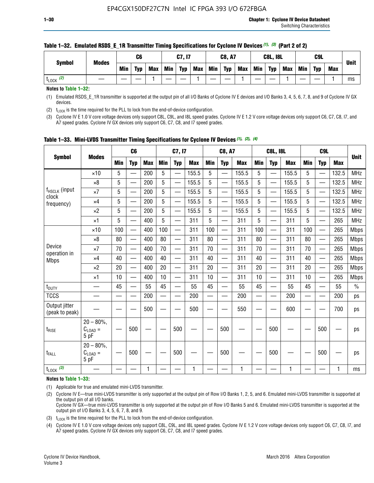| <b>Symbol</b>        | <b>Modes</b> |     | C6         |            |     | C7, I7     |            |         | <b>C8, A7</b> |            |            | <b>C8L, I8L</b> |            |     | C <sub>9</sub> L |            | <b>Unit</b> |
|----------------------|--------------|-----|------------|------------|-----|------------|------------|---------|---------------|------------|------------|-----------------|------------|-----|------------------|------------|-------------|
|                      |              | Min | <b>Typ</b> | <b>Max</b> | Min | <b>Typ</b> | <b>Max</b> | Min $ $ | <b>Typ</b>    | <b>Max</b> | <b>Min</b> | <b>Typ</b>      | <b>Max</b> | Min | <b>Tvp</b>       | <b>Max</b> |             |
| (2)<br><b>L</b> LOCK |              |     |            |            |     |            |            |         |               |            |            |                 |            |     |                  |            | ms          |

#### **Table 1–32. Emulated RSDS\_E\_1R Transmitter Timing Specifications for Cyclone IV Devices** *(1), (3)* **(Part 2 of 2)**

**Notes to Table 1–32:**

(1) Emulated RSDS\_E\_1R transmitter is supported at the output pin of all I/O Banks of Cyclone IV E devices and I/O Banks 3, 4, 5, 6, 7, 8, and 9 of Cyclone IV GX devices.

(2)  $t_{\text{LOCK}}$  is the time required for the PLL to lock from the end-of-device configuration.

(3) Cyclone IV E 1.0 V core voltage devices only support C8L, C9L, and I8L speed grades. Cyclone IV E 1.2 V core voltage devices only support C6, C7, C8, I7, and A7 speed grades. Cyclone IV GX devices only support C6, C7, C8, and I7 speed grades.

|                                    |                                            |            | C <sub>6</sub>                                |            |                          | C7, I7     |            |            | <b>C8, A7</b>            |              |            | <b>C8L, I8L</b>          |            |            | C <sub>9L</sub>          |            |             |
|------------------------------------|--------------------------------------------|------------|-----------------------------------------------|------------|--------------------------|------------|------------|------------|--------------------------|--------------|------------|--------------------------|------------|------------|--------------------------|------------|-------------|
| <b>Symbol</b>                      | <b>Modes</b>                               | <b>Min</b> | <b>Typ</b>                                    | <b>Max</b> | <b>Min</b>               | <b>Typ</b> | <b>Max</b> | <b>Min</b> | <b>Typ</b>               | <b>Max</b>   | <b>Min</b> | <b>Typ</b>               | <b>Max</b> | <b>Min</b> | <b>Typ</b>               | <b>Max</b> | <b>Unit</b> |
|                                    | $\times$ 10                                | 5          | $\overline{\phantom{0}}$                      | 200        | 5                        | —          | 155.5      | 5          | $\overline{\phantom{0}}$ | 155.5        | 5          | $\overline{\phantom{0}}$ | 155.5      | 5          | <u>—</u>                 | 132.5      | <b>MHz</b>  |
|                                    | $\times 8$                                 | 5          |                                               | 200        | 5                        |            | 155.5      | 5          | e.                       | 155.5        | 5          |                          | 155.5      | 5          |                          | 132.5      | <b>MHz</b>  |
| f <sub>HSCLK</sub> (input<br>clock | $\times 7$                                 | 5          | $\qquad \qquad \overbrace{\qquad \qquad }^{}$ | 200        | 5                        | —          | 155.5      | 5          | —                        | 155.5        | 5          | —                        | 155.5      | 5          | —                        | 132.5      | <b>MHz</b>  |
| frequency)                         | $\times$ 4                                 | 5          | $\overline{\phantom{0}}$                      | 200        | 5                        | —          | 155.5      | 5          | $\overline{\phantom{0}}$ | 155.5        | 5          |                          | 155.5      | 5          | —                        | 132.5      | MHz         |
|                                    | $\times 2$                                 | 5          | $\overline{\phantom{0}}$                      | 200        | 5                        | —          | 155.5      | 5          | —<br>——                  | 155.5        | 5          |                          | 155.5      | 5          | $\overline{\phantom{0}}$ | 132.5      | <b>MHz</b>  |
|                                    | $\times$ 1                                 | 5          | $\overline{\phantom{0}}$                      | 400        | 5                        | —          | 311        | 5          | —                        | 311          | 5          | $\overline{\phantom{0}}$ | 311        | 5          |                          | 265        | MHz         |
|                                    | $\times$ 10                                | 100        | $\overline{\phantom{0}}$                      | 400        | 100                      |            | 311        | 100        | $\overline{\phantom{0}}$ | 311          | 100        |                          | 311        | 100        |                          | 265        | <b>Mbps</b> |
|                                    | $\times 8$                                 | 80         |                                               | 400        | 80                       | $\equiv$   | 311        | 80         | $\overline{\phantom{0}}$ | 311          | 80         |                          | 311        | 80         |                          | 265        | <b>Mbps</b> |
| Device                             | $\times 7$                                 | 70         |                                               | 400        | 70                       |            | 311        | 70         | $\overline{\phantom{0}}$ | 311          | 70         |                          | 311        | 70         |                          | 265        | <b>Mbps</b> |
| operation in<br><b>Mbps</b>        | $\times 4$                                 | 40         | $\overline{\phantom{0}}$                      | 400        | 40                       | —          | 311        | 40         | $\overline{\phantom{0}}$ | 311          | 40         | $\overline{\phantom{0}}$ | 311        | 40         |                          | 265        | <b>Mbps</b> |
|                                    | $\times 2$                                 | 20         |                                               | 400        | 20                       |            | 311        | 20         | $\overline{\phantom{0}}$ | 311          | 20         |                          | 311        | 20         |                          | 265        | <b>Mbps</b> |
|                                    | $\times$ 1                                 | 10         |                                               | 400        | 10                       | —          | 311        | 10         | —                        | 311          | 10         | —                        | 311        | 10         |                          | 265        | <b>Mbps</b> |
| t <sub>DUTY</sub>                  |                                            | 45         |                                               | 55         | 45                       |            | 55         | 45         | —                        | 55           | 45         | —                        | 55         | 45         |                          | 55         | $\%$        |
| <b>TCCS</b>                        |                                            |            |                                               | 200        | $\overline{\phantom{0}}$ | —          | 200        | —          | $\overline{\phantom{0}}$ | 200          |            | —                        | 200        | —          |                          | 200        | ps          |
| Output jitter<br>(peak to peak)    |                                            |            |                                               | 500        |                          |            | 500        |            |                          | 550          |            |                          | 600        |            |                          | 700        | ps          |
| $t_{\text{RISE}}$                  | $20 - 80\%$ ,<br>$C_{LOAD} =$<br>5 pF      |            | 500                                           |            |                          | 500        |            |            | 500                      |              |            | 500                      |            |            | 500                      |            | ps          |
| t <sub>FALL</sub>                  | $20 - 80\%$<br>$C_{\text{LOAD}} =$<br>5 pF |            | 500                                           |            |                          | 500        |            |            | 500                      |              |            | 500                      |            |            | 500                      |            | ps          |
| $t_{\text{LOCK}}$ (3)              |                                            |            |                                               | 1          |                          |            | 1          |            |                          | $\mathbf{1}$ |            |                          | 1          |            |                          | 1          | ms          |

|  |  |  |  | Table 1-33. Mini-LVDS Transmitter Timing Specifications for Cyclone IV Devices (1), (2), (4) |  |  |  |  |  |
|--|--|--|--|----------------------------------------------------------------------------------------------|--|--|--|--|--|
|--|--|--|--|----------------------------------------------------------------------------------------------|--|--|--|--|--|

**Notes to Table 1–33:**

(1) Applicable for true and emulated mini-LVDS transmitter.

(2) Cyclone IV E—true mini-LVDS transmitter is only supported at the output pin of Row I/O Banks 1, 2, 5, and 6. Emulated mini-LVDS transmitter is supported at the output pin of all I/O banks.

Cyclone IV GX—true mini-LVDS transmitter is only supported at the output pin of Row I/O Banks 5 and 6. Emulated mini-LVDS transmitter is supported at the output pin of I/O Banks 3, 4, 5, 6, 7, 8, and 9.

(3)  $t_{\text{LOCK}}$  is the time required for the PLL to lock from the end-of-device configuration.

(4) Cyclone IV E 1.0 V core voltage devices only support C8L, C9L, and I8L speed grades. Cyclone IV E 1.2 V core voltage devices only support C6, C7, C8, I7, and A7 speed grades. Cyclone IV GX devices only support C6, C7, C8, and I7 speed grades.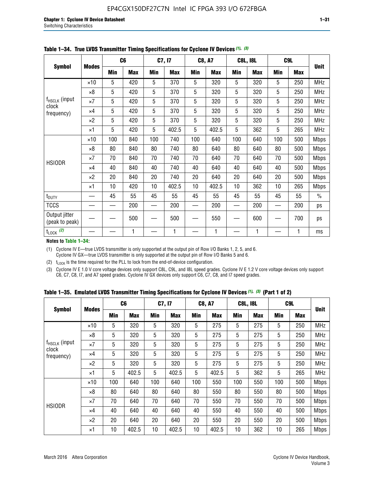|                                 |              |     | C <sub>6</sub> |     | C7, I7     |            | <b>C8, A7</b> |     | <b>C8L, I8L</b> |            | C9L        |               |
|---------------------------------|--------------|-----|----------------|-----|------------|------------|---------------|-----|-----------------|------------|------------|---------------|
| <b>Symbol</b>                   | <b>Modes</b> | Min | <b>Max</b>     | Min | <b>Max</b> | <b>Min</b> | <b>Max</b>    | Min | <b>Max</b>      | <b>Min</b> | <b>Max</b> | <b>Unit</b>   |
|                                 | $\times$ 10  | 5   | 420            | 5   | 370        | 5          | 320           | 5   | 320             | 5          | 250        | <b>MHz</b>    |
|                                 | $\times 8$   | 5   | 420            | 5   | 370        | 5          | 320           | 5   | 320             | 5          | 250        | <b>MHz</b>    |
| f <sub>HSCLK</sub> (input       | $\times 7$   | 5   | 420            | 5   | 370        | 5          | 320           | 5   | 320             | 5          | 250        | <b>MHz</b>    |
| clock<br>frequency)             | $\times$ 4   | 5   | 420            | 5   | 370        | 5          | 320           | 5   | 320             | 5          | 250        | <b>MHz</b>    |
|                                 | $\times 2$   | 5   | 420            | 5   | 370        | 5          | 320           | 5   | 320             | 5          | 250        | <b>MHz</b>    |
|                                 | $\times$ 1   | 5   | 420            | 5   | 402.5      | 5          | 402.5         | 5   | 362             | 5          | 265        | <b>MHz</b>    |
|                                 | $\times$ 10  | 100 | 840            | 100 | 740        | 100        | 640           | 100 | 640             | 100        | 500        | <b>Mbps</b>   |
|                                 | $\times 8$   | 80  | 840            | 80  | 740        | 80         | 640           | 80  | 640             | 80         | 500        | <b>Mbps</b>   |
| <b>HSIODR</b>                   | $\times 7$   | 70  | 840            | 70  | 740        | 70         | 640           | 70  | 640             | 70         | 500        | <b>Mbps</b>   |
|                                 | $\times$ 4   | 40  | 840            | 40  | 740        | 40         | 640           | 40  | 640             | 40         | 500        | <b>Mbps</b>   |
|                                 | $\times 2$   | 20  | 840            | 20  | 740        | 20         | 640           | 20  | 640             | 20         | 500        | <b>Mbps</b>   |
|                                 | $\times$ 1   | 10  | 420            | 10  | 402.5      | 10         | 402.5         | 10  | 362             | 10         | 265        | <b>Mbps</b>   |
| t <sub>DUTY</sub>               |              | 45  | 55             | 45  | 55         | 45         | 55            | 45  | 55              | 45         | 55         | $\frac{0}{0}$ |
| <b>TCCS</b>                     |              |     | 200            |     | 200        |            | 200           |     | 200             |            | 200        | ps            |
| Output jitter<br>(peak to peak) |              |     | 500            |     | 500        |            | 550           |     | 600             |            | 700        | ps            |
| $t_{\text{LOCK}}$ (2)           |              |     | 1              |     | 1          |            | 1             |     | 1               |            | 1          | ms            |

**Table 1–34. True LVDS Transmitter Timing Specifications for Cyclone IV Devices** *(1)***,** *(3)*

**Notes to Table 1–34:**

(1) Cyclone IV E—true LVDS transmitter is only supported at the output pin of Row I/O Banks 1, 2, 5, and 6. Cyclone IV GX—true LVDS transmitter is only supported at the output pin of Row I/O Banks 5 and 6.

(2)  $t_{\text{LOCK}}$  is the time required for the PLL to lock from the end-of-device configuration.

(3) Cyclone IV E 1.0 V core voltage devices only support C8L, C9L, and I8L speed grades. Cyclone IV E 1.2 V core voltage devices only support C6, C7, C8, I7, and A7 speed grades. Cyclone IV GX devices only support C6, C7, C8, and I7 speed grades.

|  |  |  |  | Table 1–35. Emulated LVDS Transmitter Timing Specifications for Cyclone IV Devices <sup>(1),</sup> <sup>(3)</sup> (Part 1 of 2) |  |  |
|--|--|--|--|---------------------------------------------------------------------------------------------------------------------------------|--|--|
|--|--|--|--|---------------------------------------------------------------------------------------------------------------------------------|--|--|

|                             |              | C <sub>6</sub> |            | C7, I7     |            | <b>C8, A7</b> |            | <b>C8L, I8L</b> |            | C <sub>9L</sub> |            |             |
|-----------------------------|--------------|----------------|------------|------------|------------|---------------|------------|-----------------|------------|-----------------|------------|-------------|
| <b>Symbol</b>               | <b>Modes</b> | Min            | <b>Max</b> | <b>Min</b> | <b>Max</b> | <b>Min</b>    | <b>Max</b> | <b>Min</b>      | <b>Max</b> | <b>Min</b>      | <b>Max</b> | <b>Unit</b> |
|                             | $\times$ 10  | 5              | 320        | 5          | 320        | 5             | 275        | 5               | 275        | 5               | 250        | <b>MHz</b>  |
|                             | $\times 8$   | 5              | 320        | 5          | 320        | 5             | 275        | 5               | 275        | 5               | 250        | <b>MHz</b>  |
| $f_{HSCLK}$ (input<br>clock | $\times 7$   | 5              | 320        | 5          | 320        | 5             | 275        | 5               | 275        | 5               | 250        | <b>MHz</b>  |
| frequency)                  | $\times$ 4   | 5              | 320        | 5          | 320        | 5             | 275        | 5               | 275        | 5               | 250        | <b>MHz</b>  |
|                             | $\times 2$   | 5              | 320        | 5          | 320        | 5             | 275        | 5               | 275        | 5               | 250        | <b>MHz</b>  |
|                             | $\times$ 1   | 5              | 402.5      | 5          | 402.5      | 5             | 402.5      | 5               | 362        | 5               | 265        | <b>MHz</b>  |
|                             | $\times$ 10  | 100            | 640        | 100        | 640        | 100           | 550        | 100             | 550        | 100             | 500        | <b>Mbps</b> |
|                             | $\times 8$   | 80             | 640        | 80         | 640        | 80            | 550        | 80              | 550        | 80              | 500        | <b>Mbps</b> |
| <b>HSIODR</b>               | $\times 7$   | 70             | 640        | 70         | 640        | 70            | 550        | 70              | 550        | 70              | 500        | <b>Mbps</b> |
|                             | $\times$ 4   | 40             | 640        | 40         | 640        | 40            | 550        | 40              | 550        | 40              | 500        | <b>Mbps</b> |
|                             | $\times 2$   | 20             | 640        | 20         | 640        | 20            | 550        | 20              | 550        | 20              | 500        | <b>Mbps</b> |
|                             | ×1           | 10             | 402.5      | 10         | 402.5      | 10            | 402.5      | 10              | 362        | 10              | 265        | <b>Mbps</b> |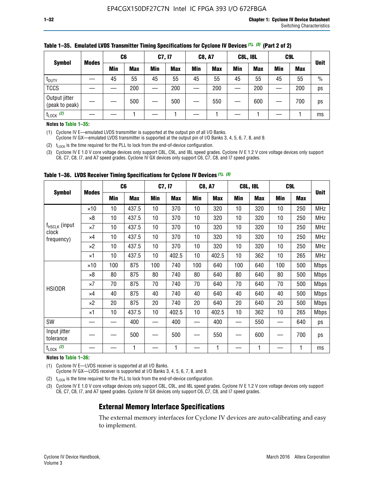|                                 | <b>Modes</b> | C <sub>6</sub> |            | C7, I7 |            | <b>C8, A7</b> |            | <b>C8L, I8L</b> |            |     | C <sub>9</sub> L |               |
|---------------------------------|--------------|----------------|------------|--------|------------|---------------|------------|-----------------|------------|-----|------------------|---------------|
| <b>Symbol</b>                   |              | Min            | <b>Max</b> | Min    | <b>Max</b> | <b>Min</b>    | <b>Max</b> | <b>Min</b>      | <b>Max</b> | Min | <b>Max</b>       | <b>Unit</b>   |
| t <sub>DUTY</sub>               |              | 45             | 55         | 45     | 55         | 45            | 55         | 45              | 55         | 45  | 55               | $\frac{0}{0}$ |
| <b>TCCS</b>                     |              |                | 200        |        | 200        |               | 200        |                 | 200        |     | 200              | ps            |
| Output jitter<br>(peak to peak) |              |                | 500        |        | 500        |               | 550        |                 | 600        | —   | 700              | ps            |
| $t_{\text{LOCK}}$ (2)           |              |                |            |        |            |               |            |                 |            |     |                  | ms            |

#### **Table 1–35. Emulated LVDS Transmitter Timing Specifications for Cyclone IV Devices** *(1)***,** *(3)* **(Part 2 of 2)**

#### **Notes to Table 1–35:**

(1) Cyclone IV E—emulated LVDS transmitter is supported at the output pin of all I/O Banks.

Cyclone IV GX—emulated LVDS transmitter is supported at the output pin of I/O Banks 3, 4, 5, 6, 7, 8, and 9.

(2)  $t_{\text{LOCK}}$  is the time required for the PLL to lock from the end-of-device configuration.

(3) Cyclone IV E 1.0 V core voltage devices only support C8L, C9L, and I8L speed grades. Cyclone IV E 1.2 V core voltage devices only support C6, C7, C8, I7, and A7 speed grades. Cyclone IV GX devices only support C6, C7, C8, and I7 speed grades.

|                                    |              | C <sub>6</sub> |            | C7, I7     |            | <b>C8, A7</b> |            | <b>C8L, I8L</b> |            | C <sub>9</sub> L |            |             |
|------------------------------------|--------------|----------------|------------|------------|------------|---------------|------------|-----------------|------------|------------------|------------|-------------|
| <b>Symbol</b>                      | <b>Modes</b> | Min            | <b>Max</b> | <b>Min</b> | <b>Max</b> | Min           | <b>Max</b> | Min             | <b>Max</b> | Min              | <b>Max</b> | <b>Unit</b> |
|                                    | $\times$ 10  | 10             | 437.5      | 10         | 370        | 10            | 320        | 10              | 320        | 10               | 250        | <b>MHz</b>  |
|                                    | $\times 8$   | 10             | 437.5      | 10         | 370        | 10            | 320        | 10              | 320        | 10               | 250        | <b>MHz</b>  |
| f <sub>HSCLK</sub> (input<br>clock | $\times 7$   | 10             | 437.5      | 10         | 370        | 10            | 320        | 10              | 320        | 10               | 250        | <b>MHz</b>  |
| frequency)                         | ×4           | 10             | 437.5      | 10         | 370        | 10            | 320        | 10              | 320        | 10               | 250        | <b>MHz</b>  |
|                                    | $\times 2$   | 10             | 437.5      | 10         | 370        | 10            | 320        | 10              | 320        | 10               | 250        | <b>MHz</b>  |
|                                    | ×1           | 10             | 437.5      | 10         | 402.5      | 10            | 402.5      | 10              | 362        | 10               | 265        | <b>MHz</b>  |
|                                    | $\times$ 10  | 100            | 875        | 100        | 740        | 100           | 640        | 100             | 640        | 100              | 500        | <b>Mbps</b> |
|                                    | $\times 8$   | 80             | 875        | 80         | 740        | 80            | 640        | 80              | 640        | 80               | 500        | <b>Mbps</b> |
| <b>HSIODR</b>                      | $\times 7$   | 70             | 875        | 70         | 740        | 70            | 640        | 70              | 640        | 70               | 500        | <b>Mbps</b> |
|                                    | $\times 4$   | 40             | 875        | 40         | 740        | 40            | 640        | 40              | 640        | 40               | 500        | <b>Mbps</b> |
|                                    | $\times 2$   | 20             | 875        | 20         | 740        | 20            | 640        | 20              | 640        | 20               | 500        | <b>Mbps</b> |
|                                    | ×1           | 10             | 437.5      | 10         | 402.5      | 10            | 402.5      | 10              | 362        | 10               | 265        | <b>Mbps</b> |
| SW                                 |              |                | 400        |            | 400        |               | 400        |                 | 550        | —                | 640        | ps          |
| Input jitter<br>tolerance          |              |                | 500        |            | 500        |               | 550        |                 | 600        |                  | 700        | ps          |
| $t_{\text{LOCK}}$ (2)              |              |                | 1          |            | 1          |               | 1          |                 | 1          |                  | 1          | ms          |

**Table 1–36. LVDS Receiver Timing Specifications for Cyclone IV Devices** *(1)***,** *(3)*

#### **Notes to Table 1–36:**

(1) Cyclone IV E—LVDS receiver is supported at all I/O Banks.

Cyclone IV GX—LVDS receiver is supported at I/O Banks 3, 4, 5, 6, 7, 8, and 9.

(2)  $t_{\text{LOCK}}$  is the time required for the PLL to lock from the end-of-device configuration.

(3) Cyclone IV E 1.0 V core voltage devices only support C8L, C9L, and I8L speed grades. Cyclone IV E 1.2 V core voltage devices only support C6, C7, C8, I7, and A7 speed grades. Cyclone IV GX devices only support C6, C7, C8, and I7 speed grades.

#### **External Memory Interface Specifications**

The external memory interfaces for Cyclone IV devices are auto-calibrating and easy to implement.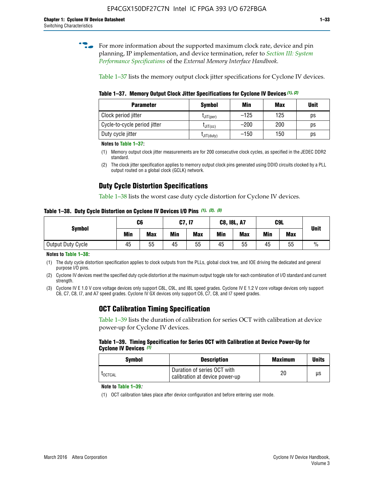**for more information about the supported maximum clock rate, device and pin** planning, IP implementation, and device termination, refer to *[Section III: System](http://www.altera.com/literature/hb/external-memory/emi_intro_specs.pdf)  [Performance Specifications](http://www.altera.com/literature/hb/external-memory/emi_intro_specs.pdf)* of the *External Memory Interface Handbook*.

Table 1–37 lists the memory output clock jitter specifications for Cyclone IV devices.

**Table 1–37. Memory Output Clock Jitter Specifications for Cyclone IV Devices** *(1)***,** *(2)*

| <b>Parameter</b>             | <b>Symbol</b>  | Min    | <b>Max</b> | <b>Unit</b> |
|------------------------------|----------------|--------|------------|-------------|
| Clock period jitter          | $L$ JIT(per)   | $-125$ | 125        | ps          |
| Cycle-to-cycle period jitter | $L$ JIT $(cc)$ | $-200$ | 200        | ps          |
| Duty cycle jitter            | LJIT(duty)     | $-150$ | 150        | рs          |

**Notes to Table 1–37:**

- (1) Memory output clock jitter measurements are for 200 consecutive clock cycles, as specified in the JEDEC DDR2 standard.
- (2) The clock jitter specification applies to memory output clock pins generated using DDIO circuits clocked by a PLL output routed on a global clock (GCLK) network.

## **Duty Cycle Distortion Specifications**

Table 1–38 lists the worst case duty cycle distortion for Cyclone IV devices.

**Table 1–38. Duty Cycle Distortion on Cyclone IV Devices I/O Pins** *(1)***,** *(2), (3)*

| <b>Symbol</b>     | C <sub>6</sub> |            | C7, I7     |            | <b>C8, I8L, A7</b> |            | C9L        | <b>Unit</b> |               |
|-------------------|----------------|------------|------------|------------|--------------------|------------|------------|-------------|---------------|
|                   | Min            | <b>Max</b> | <b>Min</b> | <b>Max</b> | Min                | <b>Max</b> | <b>Min</b> | <b>Max</b>  |               |
| Output Duty Cycle | 45             | 55         | 45         | 55         | 45                 | 55         | 45         | 55          | $\frac{0}{0}$ |

**Notes to Table 1–38:**

(1) The duty cycle distortion specification applies to clock outputs from the PLLs, global clock tree, and IOE driving the dedicated and general purpose I/O pins.

(2) Cyclone IV devices meet the specified duty cycle distortion at the maximum output toggle rate for each combination of I/O standard and current strength.

(3) Cyclone IV E 1.0 V core voltage devices only support C8L, C9L, and I8L speed grades. Cyclone IV E 1.2 V core voltage devices only support C6, C7, C8, I7, and A7 speed grades. Cyclone IV GX devices only support C6, C7, C8, and I7 speed grades.

## **OCT Calibration Timing Specification**

Table 1–39 lists the duration of calibration for series OCT with calibration at device power-up for Cyclone IV devices.

#### **Table 1–39. Timing Specification for Series OCT with Calibration at Device Power-Up for Cyclone IV Devices** *(1)*

| Symbol  | <b>Description</b>                                            | <b>Maximum</b> | <b>Units</b> |
|---------|---------------------------------------------------------------|----------------|--------------|
| LOCTCAL | Duration of series OCT with<br>calibration at device power-up | 20             | μs           |

#### **Note to Table 1–39***:*

(1) OCT calibration takes place after device configuration and before entering user mode.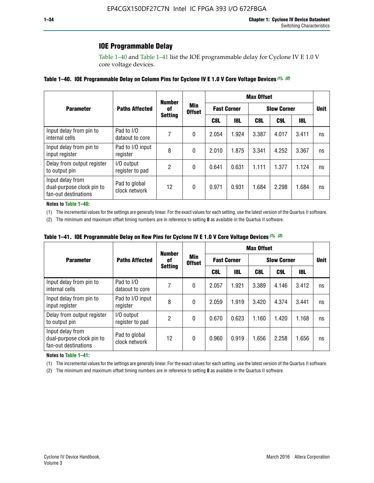### **IOE Programmable Delay**

Table 1–40 and Table 1–41 list the IOE programmable delay for Cyclone IV E 1.0 V core voltage devices.

#### **Table 1–40. IOE Programmable Delay on Column Pins for Cyclone IV E 1.0 V Core Voltage Devices** *(1)***,** *(2)*

|                                                                       |                                | <b>Number</b>  | Min<br><b>Offset</b> | <b>Max Offset</b>  |            |                    |       |             |    |  |
|-----------------------------------------------------------------------|--------------------------------|----------------|----------------------|--------------------|------------|--------------------|-------|-------------|----|--|
| <b>Parameter</b>                                                      | <b>Paths Affected</b>          | 0f             |                      | <b>Fast Corner</b> |            | <b>Slow Corner</b> |       | <b>Unit</b> |    |  |
|                                                                       |                                | <b>Setting</b> |                      | C8L                | <b>18L</b> | C8L                | C9L   | 18L         |    |  |
| Input delay from pin to<br>internal cells                             | Pad to I/O<br>dataout to core  |                | 0                    | 2.054              | 1.924      | 3.387              | 4.017 | 3.411       | ns |  |
| Input delay from pin to<br>input register                             | Pad to I/O input<br>register   | 8              | 0                    | 2.010              | 1.875      | 3.341              | 4.252 | 3.367       | ns |  |
| Delay from output register<br>to output pin                           | I/O output<br>register to pad  | 2              | 0                    | 0.641              | 0.631      | 1.111              | 1.377 | 1.124       | ns |  |
| Input delay from<br>dual-purpose clock pin to<br>fan-out destinations | Pad to global<br>clock network | 12             | 0                    | 0.971              | 0.931      | 1.684              | 2.298 | 1.684       | ns |  |

#### **Notes to Table 1–40:**

(1) The incremental values for the settings are generally linear. For the exact values for each setting, use the latest version of the Quartus II software.

(2) The minimum and maximum offset timing numbers are in reference to setting **0** as available in the Quartus II software.

| Table 1–41. IOE Programmable Delay on Row Pins for Cyclone IV E 1.0 V Core Voltage Devices (1), (2) |  |  |
|-----------------------------------------------------------------------------------------------------|--|--|
|-----------------------------------------------------------------------------------------------------|--|--|

|                                                                       |                                |    | <b>Number</b><br>Min<br>0f<br><b>Offset</b><br><b>Setting</b> | <b>Max Offset</b>  |            |                    |       |             |    |  |
|-----------------------------------------------------------------------|--------------------------------|----|---------------------------------------------------------------|--------------------|------------|--------------------|-------|-------------|----|--|
| <b>Parameter</b>                                                      | <b>Paths Affected</b>          |    |                                                               | <b>Fast Corner</b> |            | <b>Slow Corner</b> |       | <b>Unit</b> |    |  |
|                                                                       |                                |    |                                                               | C8L                | <b>18L</b> | C8L                | C9L   | 18L         |    |  |
| Input delay from pin to<br>internal cells                             | Pad to I/O<br>dataout to core  |    | 0                                                             | 2.057              | 1.921      | 3.389              | 4.146 | 3.412       | ns |  |
| Input delay from pin to<br>input register                             | Pad to I/O input<br>register   | 8  | 0                                                             | 2.059              | 1.919      | 3.420              | 4.374 | 3.441       | ns |  |
| Delay from output register<br>to output pin                           | I/O output<br>register to pad  | 2  | 0                                                             | 0.670              | 0.623      | 1.160              | 1.420 | 1.168       | ns |  |
| Input delay from<br>dual-purpose clock pin to<br>fan-out destinations | Pad to global<br>clock network | 12 | 0                                                             | 0.960              | 0.919      | 1.656              | 2.258 | 1.656       | ns |  |

#### **Notes to Table 1–41:**

(1) The incremental values for the settings are generally linear. For the exact values for each setting, use the latest version of the Quartus II software.

(2) The minimum and maximum offset timing numbers are in reference to setting **0** as available in the Quartus II software.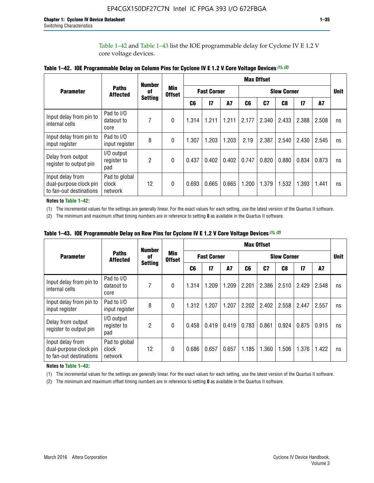Table 1–42 and Table 1–43 list the IOE programmable delay for Cyclone IV E 1.2 V core voltage devices.

|                                                                       |                                   | <b>Number</b>        |                             |                    |                 |           |                    | <b>Max Offset</b> |       |                 |       |             |  |  |  |  |
|-----------------------------------------------------------------------|-----------------------------------|----------------------|-----------------------------|--------------------|-----------------|-----------|--------------------|-------------------|-------|-----------------|-------|-------------|--|--|--|--|
| <b>Parameter</b>                                                      | <b>Paths</b><br><b>Affected</b>   | 0f<br><b>Setting</b> | <b>Min</b><br><b>Offset</b> | <b>Fast Corner</b> |                 |           | <b>Slow Corner</b> |                   |       |                 |       | <b>Unit</b> |  |  |  |  |
|                                                                       |                                   |                      |                             | C <sub>6</sub>     | $\overline{17}$ | <b>A7</b> | C6                 | C7                | C8    | $\overline{17}$ | A7    |             |  |  |  |  |
| Input delay from pin to<br>internal cells                             | Pad to I/O<br>dataout to<br>core  | 7                    | $\Omega$                    | 1.314              | 1.211           | 1.211     | 2.177              | 2.340             | 2.433 | 2.388           | 2.508 | ns          |  |  |  |  |
| Input delay from pin to<br>input register                             | Pad to I/O<br>input register      | 8                    | $\theta$                    | 1.307              | 1.203           | 1.203     | 2.19               | 2.387             | 2.540 | 2.430           | 2.545 | ns          |  |  |  |  |
| Delay from output<br>register to output pin                           | I/O output<br>register to<br>pad  | 2                    | $\Omega$                    | 0.437              | 0.402           | 0.402     | 0.747              | 0.820             | 0.880 | 0.834           | 0.873 | ns          |  |  |  |  |
| Input delay from<br>dual-purpose clock pin<br>to fan-out destinations | Pad to global<br>clock<br>network | 12                   | 0                           | 0.693              | 0.665           | 0.665     | 1.200              | 1.379             | 1.532 | 1.393           | 1.441 | ns          |  |  |  |  |

**Table 1–42. IOE Programmable Delay on Column Pins for Cyclone IV E 1.2 V Core Voltage Devices** *(1)***,** *(2)*

**Notes to Table 1–42:**

(1) The incremental values for the settings are generally linear. For the exact values for each setting, use the latest version of the Quartus II software.

(2) The minimum and maximum offset timing numbers are in reference to setting **0** as available in the Quartus II software.

|                                                                       |                                   | <b>Number</b>              |          |       |                    |       |       | <b>Max Offset</b> |                    |              |       |             |
|-----------------------------------------------------------------------|-----------------------------------|----------------------------|----------|-------|--------------------|-------|-------|-------------------|--------------------|--------------|-------|-------------|
| <b>Parameter</b>                                                      | <b>Paths</b><br><b>Affected</b>   | Min<br>0f<br><b>Offset</b> |          |       | <b>Fast Corner</b> |       |       |                   | <b>Slow Corner</b> |              |       | <b>Unit</b> |
|                                                                       |                                   | <b>Setting</b>             |          | C6    | $\overline{17}$    | A7    | C6    | C <sub>7</sub>    | C8                 | $\mathbf{I}$ | A7    |             |
| Input delay from pin to<br>internal cells                             | Pad to I/O<br>dataout to<br>core  | 7                          | 0        | 1.314 | 1.209              | 1.209 | 2.201 | 2.386             | 2.510              | 2.429        | 2.548 | ns          |
| Input delay from pin to<br>input register                             | Pad to I/O<br>input register      | 8                          | $\theta$ | 1.312 | 1.207              | 1.207 | 2.202 | 2.402             | 2.558              | 2.447        | 2.557 | ns          |
| Delay from output<br>register to output pin                           | I/O output<br>register to<br>pad  | $\overline{2}$             | $\Omega$ | 0.458 | 0.419              | 0.419 | 0.783 | 0.861             | 0.924              | 0.875        | 0.915 | ns          |
| Input delay from<br>dual-purpose clock pin<br>to fan-out destinations | Pad to global<br>clock<br>network | 12                         | 0        | 0.686 | 0.657              | 0.657 | 1.185 | 1.360             | 1.506              | 1.376        | 1.422 | ns          |

**Table 1–43. IOE Programmable Delay on Row Pins for Cyclone IV E 1.2 V Core Voltage Devices** *(1)***,** *(2)*

#### **Notes to Table 1–43:**

(1) The incremental values for the settings are generally linear. For the exact values for each setting, use the latest version of the Quartus II software.

(2) The minimum and maximum offset timing numbers are in reference to setting **0** as available in the Quartus II software.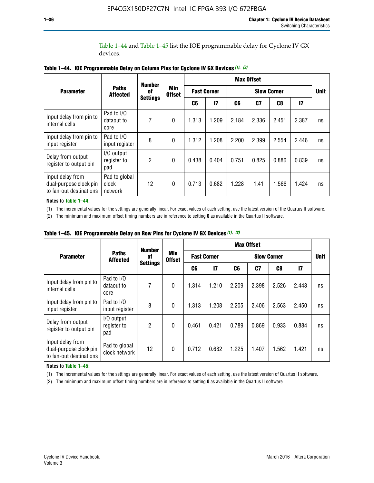Table 1–44 and Table 1–45 list the IOE programmable delay for Cyclone IV GX devices.

|                                                                       |                                       | <b>Number</b>   | <b>Min</b>   | <b>Max Offset</b> |              |                    |       |                    |               |    |
|-----------------------------------------------------------------------|---------------------------------------|-----------------|--------------|-------------------|--------------|--------------------|-------|--------------------|---------------|----|
| <b>Parameter</b>                                                      | <b>Paths</b><br>0f<br><b>Affected</b> | <b>Settings</b> |              | <b>Offset</b>     |              | <b>Fast Corner</b> |       | <b>Slow Corner</b> |               |    |
|                                                                       |                                       |                 |              | C6                | $\mathbf{I}$ | C6                 | C7    | C8                 | $\mathsf{I}7$ |    |
| Input delay from pin to<br>internal cells                             | Pad to I/O<br>dataout to<br>core      | 7               | $\mathbf{0}$ | 1.313             | 1.209        | 2.184              | 2.336 | 2.451              | 2.387         | ns |
| Input delay from pin to<br>input register                             | Pad to I/O<br>input register          | 8               | $\theta$     | 1.312             | 1.208        | 2.200              | 2.399 | 2.554              | 2.446         | ns |
| Delay from output<br>register to output pin                           | I/O output<br>register to<br>pad      | 2               | $\mathbf 0$  | 0.438             | 0.404        | 0.751              | 0.825 | 0.886              | 0.839         | ns |
| Input delay from<br>dual-purpose clock pin<br>to fan-out destinations | Pad to global<br>clock<br>network     | 12              | 0            | 0.713             | 0.682        | 1.228              | 1.41  | 1.566              | 1.424         | ns |

**Table 1–44. IOE Programmable Delay on Column Pins for Cyclone IV GX Devices** *(1)***,** *(2)*

**Notes to Table 1–44:**

(1) The incremental values for the settings are generally linear. For exact values of each setting, use the latest version of the Quartus II software.

(2) The minimum and maximum offset timing numbers are in reference to setting **0** as available in the Quartus II software.

|                                                                       |                                  | <b>Number</b>         | <b>Min</b><br><b>Offset</b> | <b>Max Offset</b> |                    |       |       |                    |              |             |  |
|-----------------------------------------------------------------------|----------------------------------|-----------------------|-----------------------------|-------------------|--------------------|-------|-------|--------------------|--------------|-------------|--|
| <b>Parameter</b>                                                      | <b>Paths</b><br><b>Affected</b>  | 0f<br><b>Settings</b> |                             |                   | <b>Fast Corner</b> |       |       | <b>Slow Corner</b> |              | <b>Unit</b> |  |
|                                                                       |                                  |                       |                             | C6                | 17                 | C6    | C7    | C8                 | $\mathbf{I}$ |             |  |
| Input delay from pin to<br>internal cells                             | Pad to I/O<br>dataout to<br>core | 7                     | $\mathbf{0}$                | 1.314             | 1.210              | 2.209 | 2.398 | 2.526              | 2.443        | ns          |  |
| Input delay from pin to<br>input register                             | Pad to I/O<br>input register     | 8                     | $\mathbf{0}$                | 1.313             | 1.208              | 2.205 | 2.406 | 2.563              | 2.450        | ns          |  |
| Delay from output<br>register to output pin                           | I/O output<br>register to<br>pad | $\overline{2}$        | $\mathbf{0}$                | 0.461             | 0.421              | 0.789 | 0.869 | 0.933              | 0.884        | ns          |  |
| Input delay from<br>dual-purpose clock pin<br>to fan-out destinations | Pad to global<br>clock network   | 12                    | 0                           | 0.712             | 0.682              | 1.225 | 1.407 | 1.562              | 1.421        | ns          |  |

**Table 1–45. IOE Programmable Delay on Row Pins for Cyclone IV GX Devices** *(1)***,** *(2)*

#### **Notes to Table 1–45:**

(1) The incremental values for the settings are generally linear. For exact values of each setting, use the latest version of Quartus II software.

(2) The minimum and maximum offset timing numbers are in reference to setting **0** as available in the Quartus II software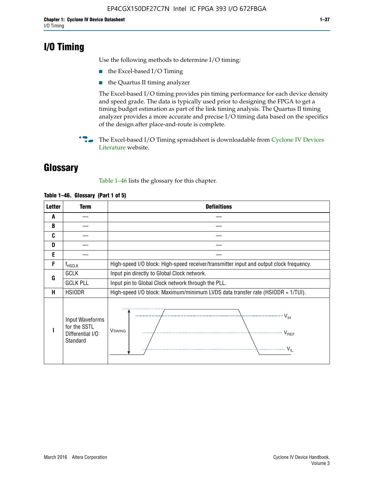## **I/O Timing**

Use the following methods to determine I/O timing:

- the Excel-based I/O Timing
- the Quartus II timing analyzer

The Excel-based I/O timing provides pin timing performance for each device density and speed grade. The data is typically used prior to designing the FPGA to get a timing budget estimation as part of the link timing analysis. The Quartus II timing analyzer provides a more accurate and precise I/O timing data based on the specifics of the design after place-and-route is complete.

**For The Excel-based I/O Timing spreadsheet is downloadable from Cyclone IV Devices** [Literature](http://www.altera.com/literature/lit-cyclone-iv.jsp) website.

## **Glossary**

Table 1–46 lists the glossary for this chapter.

| <b>Letter</b> | <b>Term</b>                                                     | <b>Definitions</b>                                                                                                                               |  |  |  |  |  |  |
|---------------|-----------------------------------------------------------------|--------------------------------------------------------------------------------------------------------------------------------------------------|--|--|--|--|--|--|
| A             |                                                                 |                                                                                                                                                  |  |  |  |  |  |  |
| B             |                                                                 |                                                                                                                                                  |  |  |  |  |  |  |
| C             |                                                                 |                                                                                                                                                  |  |  |  |  |  |  |
| D             |                                                                 |                                                                                                                                                  |  |  |  |  |  |  |
| E             |                                                                 |                                                                                                                                                  |  |  |  |  |  |  |
| F             | $f_{\sf HSCLK}$                                                 | High-speed I/O block: High-speed receiver/transmitter input and output clock frequency.                                                          |  |  |  |  |  |  |
| G             | <b>GCLK</b>                                                     | Input pin directly to Global Clock network.                                                                                                      |  |  |  |  |  |  |
|               | <b>GCLK PLL</b>                                                 | Input pin to Global Clock network through the PLL.                                                                                               |  |  |  |  |  |  |
| н             | <b>HSIODR</b>                                                   | High-speed I/O block: Maximum/minimum LVDS data transfer rate (HSIODR = 1/TUI).                                                                  |  |  |  |  |  |  |
|               | Input Waveforms<br>for the SSTL<br>Differential I/O<br>Standard | $\frac{1}{\sqrt{1+\frac{1}{2}}}\left\{ \frac{1}{\sqrt{1+\frac{1}{2}}}\right\}$<br><b>V</b> swing<br>$\cdots$ $V_{REF}$<br>\<br>$\sim V_{\rm IL}$ |  |  |  |  |  |  |

#### **Table 1–46. Glossary (Part 1 of 5)**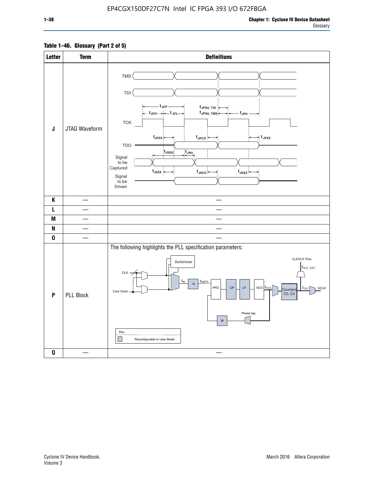#### **Table 1–46. Glossary (Part 2 of 5)**

| <b>Letter</b>             | <b>Term</b>      | <b>Definitions</b>                                                                                                                                                                                                                                                                                                                                                                                                                                          |
|---------------------------|------------------|-------------------------------------------------------------------------------------------------------------------------------------------------------------------------------------------------------------------------------------------------------------------------------------------------------------------------------------------------------------------------------------------------------------------------------------------------------------|
| $\mathsf J$               | JTAG Waveform    | TMS<br><b>TDI</b><br>– t <sub>JCP</sub><br>tJPSU_TDI:<br>t <sub>JPSU_TMS</sub><br>t <sub>JPH</sub><br>${\sf TCK}$<br>t <sub>JPZX</sub> :<br>$t_{\text{JPCO}}$<br>$\star$ t <sub>JPXZ</sub><br><b>TDO</b><br>t <sub>JSSU</sub><br>$\overline{t}_{\mathsf{JSH}}$<br>Signal<br>to be<br>Captured<br>$t_{\text{JSZX}}$<br>$t_{\text{JSCO}}$<br>$t_{JSXZ}$<br>Signal<br>to be<br>Driven                                                                          |
| K                         |                  |                                                                                                                                                                                                                                                                                                                                                                                                                                                             |
| L                         |                  |                                                                                                                                                                                                                                                                                                                                                                                                                                                             |
| M                         |                  |                                                                                                                                                                                                                                                                                                                                                                                                                                                             |
| N                         |                  |                                                                                                                                                                                                                                                                                                                                                                                                                                                             |
| $\pmb{0}$                 |                  |                                                                                                                                                                                                                                                                                                                                                                                                                                                             |
| $\boldsymbol{\mathsf{P}}$ | <b>PLL Block</b> | The following highlights the PLL specification parameters:<br><b>CLKOUT Pins</b><br>Switchover<br>$f_{\text{OUT\_EXT}}$<br>$CLK -$<br>$f_{IN}$<br>fINPFD<br>$\overline{N}$<br>PFD<br>$\mathsf{LF}% _{0}\left( t\right) \equiv\mathsf{LF}_{0}\left( t\right)$<br>$vco$ $ f_{VCO} $<br>$\mathsf{CP}$<br><b>GCLK</b><br>$f_{\text{OUT}}$<br>Counters<br>Core Clock<br>CO., C4<br>Phase tap<br>${\sf M}$<br>Key<br>$\mathcal{L}$<br>Reconfigurable in User Mode |
| $\pmb{0}$                 |                  | $\overline{\phantom{a}}$                                                                                                                                                                                                                                                                                                                                                                                                                                    |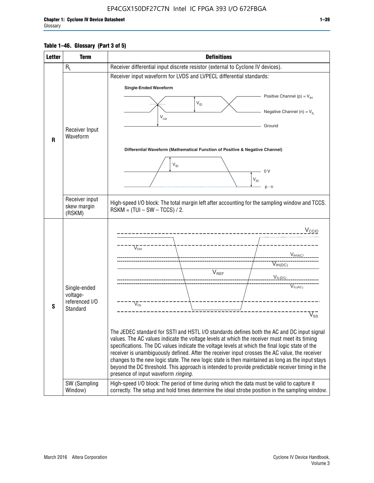#### **Table 1–46. Glossary (Part 3 of 5)**

| <b>Letter</b> | <b>Term</b>                   | <b>Definitions</b>                                                                                                                                                                                  |
|---------------|-------------------------------|-----------------------------------------------------------------------------------------------------------------------------------------------------------------------------------------------------|
|               | $R_L$                         | Receiver differential input discrete resistor (external to Cyclone IV devices).                                                                                                                     |
|               |                               | Receiver input waveform for LVDS and LVPECL differential standards:                                                                                                                                 |
|               |                               | <b>Single-Ended Waveform</b>                                                                                                                                                                        |
|               |                               | Positive Channel (p) = $V_{\text{H}}$                                                                                                                                                               |
|               |                               | $\mathsf{V}_{\mathsf{ID}}$                                                                                                                                                                          |
|               |                               | Negative Channel (n) = $V_{\parallel}$<br>V <sub>CM</sub>                                                                                                                                           |
|               | Receiver Input                | Ground                                                                                                                                                                                              |
| R             | Waveform                      |                                                                                                                                                                                                     |
|               |                               | Differential Waveform (Mathematical Function of Positive & Negative Channel)                                                                                                                        |
|               |                               |                                                                                                                                                                                                     |
|               |                               | $V_{ID}$<br>0V                                                                                                                                                                                      |
|               |                               | $V_{ID}$                                                                                                                                                                                            |
|               |                               | $p - n$                                                                                                                                                                                             |
|               | Receiver input<br>skew margin | High-speed I/O block: The total margin left after accounting for the sampling window and TCCS.                                                                                                      |
|               | (RSKM)                        | $RSKM = (TUI - SW - TCCS) / 2.$                                                                                                                                                                     |
|               |                               |                                                                                                                                                                                                     |
|               |                               | $V_{CCIO}$                                                                                                                                                                                          |
|               |                               | $V_{\text{\tiny OH}}^-$                                                                                                                                                                             |
|               |                               | $V_{H(AC)}$                                                                                                                                                                                         |
|               |                               | $V_{IH(DC)}$                                                                                                                                                                                        |
|               |                               | V <sub>REF</sub><br>$V_{\text{IL(DC)}}$                                                                                                                                                             |
|               | Single-ended                  | VIL(AC)                                                                                                                                                                                             |
|               | voltage-                      |                                                                                                                                                                                                     |
| S             | referenced I/O<br>Standard    | $V_{\text{OL}}$                                                                                                                                                                                     |
|               |                               | $\rm V_{ss}^-$                                                                                                                                                                                      |
|               |                               | The JEDEC standard for SSTI and HSTL I/O standards defines both the AC and DC input signal                                                                                                          |
|               |                               | values. The AC values indicate the voltage levels at which the receiver must meet its timing                                                                                                        |
|               |                               | specifications. The DC values indicate the voltage levels at which the final logic state of the                                                                                                     |
|               |                               | receiver is unambiguously defined. After the receiver input crosses the AC value, the receiver<br>changes to the new logic state. The new logic state is then maintained as long as the input stays |
|               |                               | beyond the DC threshold. This approach is intended to provide predictable receiver timing in the<br>presence of input waveform ringing.                                                             |
|               | SW (Sampling<br>Window)       | High-speed I/O block: The period of time during which the data must be valid to capture it<br>correctly. The setup and hold times determine the ideal strobe position in the sampling window.       |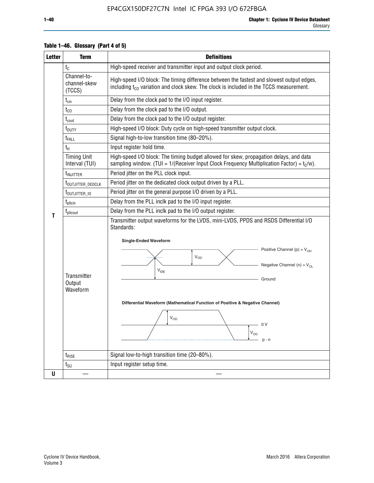| <b>Letter</b> | <b>Term</b>                           | <b>Definitions</b>                                                                                                                                                                                                                                                                                                                                                                      |  |  |  |  |
|---------------|---------------------------------------|-----------------------------------------------------------------------------------------------------------------------------------------------------------------------------------------------------------------------------------------------------------------------------------------------------------------------------------------------------------------------------------------|--|--|--|--|
|               | $t_{\rm C}$                           | High-speed receiver and transmitter input and output clock period.                                                                                                                                                                                                                                                                                                                      |  |  |  |  |
|               | Channel-to-<br>channel-skew<br>(TCCS) | High-speed I/O block: The timing difference between the fastest and slowest output edges,<br>including t <sub>co</sub> variation and clock skew. The clock is included in the TCCS measurement.                                                                                                                                                                                         |  |  |  |  |
|               | $t_{\text{cin}}$                      | Delay from the clock pad to the I/O input register.                                                                                                                                                                                                                                                                                                                                     |  |  |  |  |
|               | $t_{\rm CO}$                          | Delay from the clock pad to the I/O output.                                                                                                                                                                                                                                                                                                                                             |  |  |  |  |
|               | $t_{\mathsf{cout}}$                   | Delay from the clock pad to the I/O output register.                                                                                                                                                                                                                                                                                                                                    |  |  |  |  |
|               | $t_{\text{DUTY}}$                     | High-speed I/O block: Duty cycle on high-speed transmitter output clock.                                                                                                                                                                                                                                                                                                                |  |  |  |  |
|               | t <sub>FALL</sub>                     | Signal high-to-low transition time (80-20%).                                                                                                                                                                                                                                                                                                                                            |  |  |  |  |
|               | $t_{H}$                               | Input register hold time.                                                                                                                                                                                                                                                                                                                                                               |  |  |  |  |
|               | <b>Timing Unit</b><br>Interval (TUI)  | High-speed I/O block: The timing budget allowed for skew, propagation delays, and data<br>sampling window. (TUI = $1/($ Receiver Input Clock Frequency Multiplication Factor) = $t_c/w$ ).                                                                                                                                                                                              |  |  |  |  |
|               | t <sub>INJITTER</sub>                 | Period jitter on the PLL clock input.                                                                                                                                                                                                                                                                                                                                                   |  |  |  |  |
|               | t <sub>outjitter_dedclk</sub>         | Period jitter on the dedicated clock output driven by a PLL.                                                                                                                                                                                                                                                                                                                            |  |  |  |  |
|               | t <sub>outjitter_io</sub>             | Period jitter on the general purpose I/O driven by a PLL.                                                                                                                                                                                                                                                                                                                               |  |  |  |  |
|               | $t_{\text{pllcin}}$                   | Delay from the PLL inclk pad to the I/O input register.                                                                                                                                                                                                                                                                                                                                 |  |  |  |  |
| т             | t <sub>plicout</sub>                  | Delay from the PLL inclk pad to the I/O output register.                                                                                                                                                                                                                                                                                                                                |  |  |  |  |
|               | Transmitter<br>Output<br>Waveform     | Transmitter output waveforms for the LVDS, mini-LVDS, PPDS and RSDS Differential I/O<br>Standards:<br><b>Single-Ended Waveform</b><br>Positive Channel (p) = $V_{OH}$<br><b>V<sub>OD</sub></b><br>Negative Channel (n) = $V_{OL}$<br>$\rm V_{OS}$<br>Ground<br>Differential Waveform (Mathematical Function of Positive & Negative Channel)<br>$V_{OD}$<br>- 0 V<br>$V_{OD}$<br>$p - n$ |  |  |  |  |
|               | $t_{RISE}$                            | Signal low-to-high transition time (20-80%).                                                                                                                                                                                                                                                                                                                                            |  |  |  |  |
|               | $t_{\scriptstyle\text{SU}}$           | Input register setup time.                                                                                                                                                                                                                                                                                                                                                              |  |  |  |  |
| U             |                                       |                                                                                                                                                                                                                                                                                                                                                                                         |  |  |  |  |

#### **Table 1–46. Glossary (Part 4 of 5)**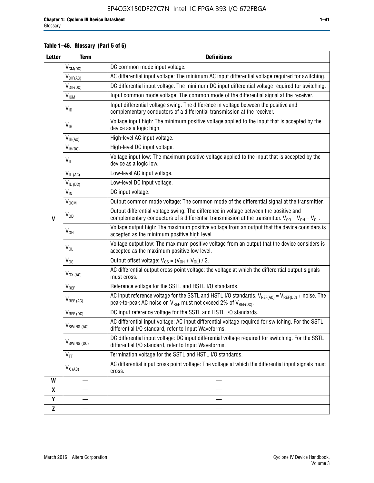#### **Table 1–46. Glossary (Part 5 of 5)**

| <b>Letter</b>    | <b>Term</b>               | <b>Definitions</b>                                                                                                                                                                                |
|------------------|---------------------------|---------------------------------------------------------------------------------------------------------------------------------------------------------------------------------------------------|
|                  | $V_{CM(DC)}$              | DC common mode input voltage.                                                                                                                                                                     |
|                  | $V_{DIF(AC)}$             | AC differential input voltage: The minimum AC input differential voltage required for switching.                                                                                                  |
|                  | $V_{DIF(DC)}$             | DC differential input voltage: The minimum DC input differential voltage required for switching.                                                                                                  |
|                  | <b>V<sub>ICM</sub></b>    | Input common mode voltage: The common mode of the differential signal at the receiver.                                                                                                            |
|                  | $V_{ID}$                  | Input differential voltage swing: The difference in voltage between the positive and<br>complementary conductors of a differential transmission at the receiver.                                  |
|                  | $V_{\text{IH}}$           | Voltage input high: The minimum positive voltage applied to the input that is accepted by the<br>device as a logic high.                                                                          |
|                  | $V_{IH(AC)}$              | High-level AC input voltage.                                                                                                                                                                      |
|                  | $V_{IH(DC)}$              | High-level DC input voltage.                                                                                                                                                                      |
|                  | $V_{IL}$                  | Voltage input low: The maximum positive voltage applied to the input that is accepted by the<br>device as a logic low.                                                                            |
|                  | $V_{IL (AC)}$             | Low-level AC input voltage.                                                                                                                                                                       |
|                  | $V_{IL(DC)}$              | Low-level DC input voltage.                                                                                                                                                                       |
|                  | $V_{\text{IN}}$           | DC input voltage.                                                                                                                                                                                 |
|                  | $\rm V_{\rm OCM}$         | Output common mode voltage: The common mode of the differential signal at the transmitter.                                                                                                        |
| $\mathbf{V}$     | $V_{OD}$                  | Output differential voltage swing: The difference in voltage between the positive and<br>complementary conductors of a differential transmission at the transmitter. $V_{OD} = V_{OH} - V_{OL}$ . |
|                  | $V_{OH}$                  | Voltage output high: The maximum positive voltage from an output that the device considers is<br>accepted as the minimum positive high level.                                                     |
|                  | $V_{OL}$                  | Voltage output low: The maximum positive voltage from an output that the device considers is<br>accepted as the maximum positive low level.                                                       |
|                  | $V_{OS}$                  | Output offset voltage: $V_{OS} = (V_{OH} + V_{OL}) / 2$ .                                                                                                                                         |
|                  | $V_{OX (AC)}$             | AC differential output cross point voltage: the voltage at which the differential output signals<br>must cross.                                                                                   |
|                  | $V_{REF}$                 | Reference voltage for the SSTL and HSTL I/O standards.                                                                                                                                            |
|                  | $V_{REF\,(AC)}$           | AC input reference voltage for the SSTL and HSTL I/O standards. $V_{REF(AC)} = V_{REF(DC)} +$ noise. The<br>peak-to-peak AC noise on $V_{REF}$ must not exceed 2% of $V_{REF(DC)}$ .              |
|                  | $V_{REF(DC)}$             | DC input reference voltage for the SSTL and HSTL I/O standards.                                                                                                                                   |
|                  | $V_{\textrm{SWING (AC)}}$ | AC differential input voltage: AC input differential voltage required for switching. For the SSTL<br>differential I/O standard, refer to Input Waveforms.                                         |
|                  | V <sub>SWING (DC)</sub>   | DC differential input voltage: DC input differential voltage required for switching. For the SSTL<br>differential I/O standard, refer to Input Waveforms.                                         |
|                  | $V_{TT}$                  | Termination voltage for the SSTL and HSTL I/O standards.                                                                                                                                          |
|                  | $V_{X (AC)}$              | AC differential input cross point voltage: The voltage at which the differential input signals must<br>cross.                                                                                     |
| W                |                           |                                                                                                                                                                                                   |
| $\boldsymbol{x}$ |                           |                                                                                                                                                                                                   |
| Y                |                           |                                                                                                                                                                                                   |
| $\mathbf{Z}$     |                           |                                                                                                                                                                                                   |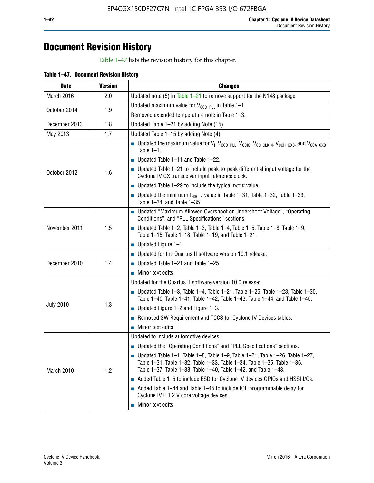## **Document Revision History**

Table 1–47 lists the revision history for this chapter.

| <b>Date</b>      | <b>Version</b> | <b>Changes</b>                                                                                                                                                                                                                            |
|------------------|----------------|-------------------------------------------------------------------------------------------------------------------------------------------------------------------------------------------------------------------------------------------|
| March 2016       | 2.0            | Updated note (5) in Table $1-21$ to remove support for the N148 package.                                                                                                                                                                  |
|                  |                | Updated maximum value for $V_{CCD, PL}$ in Table 1-1.                                                                                                                                                                                     |
| October 2014     | 1.9            | Removed extended temperature note in Table 1-3.                                                                                                                                                                                           |
| December 2013    | 1.8            | Updated Table 1-21 by adding Note (15).                                                                                                                                                                                                   |
| May 2013         | 1.7            | Updated Table 1-15 by adding Note (4).                                                                                                                                                                                                    |
|                  |                | Dpdated the maximum value for $V_1$ , $V_{CCD\_PLL}$ , $V_{CC10}$ , $V_{CC\_CLKIN}$ , $V_{CCH\_GXB}$ , and $V_{CCA\_GXB}$<br>Table $1-1$ .                                                                                                |
|                  |                | $\blacksquare$ Updated Table 1-11 and Table 1-22.                                                                                                                                                                                         |
| October 2012     | 1.6            | $\blacksquare$ Updated Table 1-21 to include peak-to-peak differential input voltage for the<br>Cyclone IV GX transceiver input reference clock.                                                                                          |
|                  |                | $\blacksquare$ Updated Table 1-29 to include the typical DCLK value.                                                                                                                                                                      |
|                  |                | <b>Updated the minimum f<sub>HSCLK</sub></b> value in Table 1-31, Table 1-32, Table 1-33,<br>Table 1-34, and Table 1-35.                                                                                                                  |
|                  | 1.5            | • Updated "Maximum Allowed Overshoot or Undershoot Voltage", "Operating<br>Conditions", and "PLL Specifications" sections.                                                                                                                |
| November 2011    |                | Updated Table 1-2, Table 1-3, Table 1-4, Table 1-5, Table 1-8, Table 1-9,<br>Table 1-15, Table 1-18, Table 1-19, and Table 1-21.                                                                                                          |
|                  |                | ■ Updated Figure $1-1$ .                                                                                                                                                                                                                  |
|                  |                | • Updated for the Quartus II software version 10.1 release.                                                                                                                                                                               |
| December 2010    | 1.4            | $\blacksquare$ Updated Table 1-21 and Table 1-25.                                                                                                                                                                                         |
|                  |                | $\blacksquare$ Minor text edits.                                                                                                                                                                                                          |
|                  |                | Updated for the Quartus II software version 10.0 release:                                                                                                                                                                                 |
|                  | 1.3            | Updated Table 1-3, Table 1-4, Table 1-21, Table 1-25, Table 1-28, Table 1-30,<br>Table 1-40, Table 1-41, Table 1-42, Table 1-43, Table 1-44, and Table 1-45.                                                                              |
| <b>July 2010</b> |                | ■ Updated Figure $1-2$ and Figure $1-3$ .                                                                                                                                                                                                 |
|                  |                | Removed SW Requirement and TCCS for Cyclone IV Devices tables.                                                                                                                                                                            |
|                  |                | $\blacksquare$ Minor text edits.                                                                                                                                                                                                          |
|                  |                | Updated to include automotive devices:                                                                                                                                                                                                    |
|                  | 1.2            | • Updated the "Operating Conditions" and "PLL Specifications" sections.                                                                                                                                                                   |
| March 2010       |                | $\blacksquare$ Updated Table 1-1, Table 1-8, Table 1-9, Table 1-21, Table 1-26, Table 1-27,<br>Table 1-31, Table 1-32, Table 1-33, Table 1-34, Table 1-35, Table 1-36,<br>Table 1-37, Table 1-38, Table 1-40, Table 1-42, and Table 1-43. |
|                  |                | Added Table 1-5 to include ESD for Cyclone IV devices GPIOs and HSSI I/Os.                                                                                                                                                                |
|                  |                | Added Table 1-44 and Table 1-45 to include IOE programmable delay for<br>Cyclone IV E 1.2 V core voltage devices.                                                                                                                         |
|                  |                | Minor text edits.                                                                                                                                                                                                                         |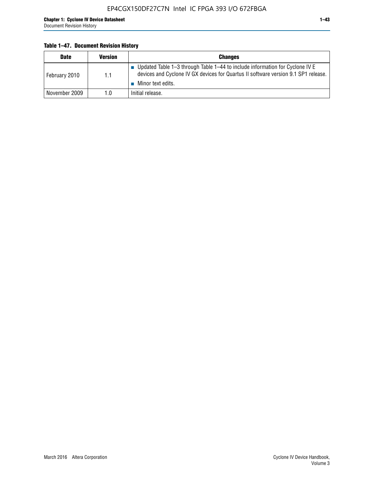#### **Table 1–47. Document Revision History**

| <b>Date</b>   | <b>Version</b> | <b>Changes</b>                                                                                                                                                                          |
|---------------|----------------|-----------------------------------------------------------------------------------------------------------------------------------------------------------------------------------------|
| February 2010 | 1.1            | Updated Table 1-3 through Table 1-44 to include information for Cyclone IV E<br>devices and Cyclone IV GX devices for Quartus II software version 9.1 SP1 release.<br>Minor text edits. |
| November 2009 | 1.0            | Initial release.                                                                                                                                                                        |